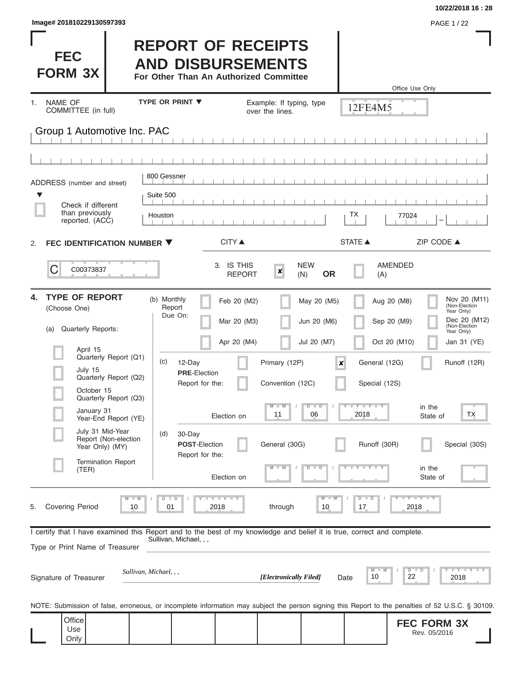| Image# 201810229130597393                                                                                                                                                                                                                                                                                                                  |                                                                                                                                                                                                                                                  |                                                                                                                             |                                                                                                                                                     | PAGE 1 / 22                                                                                                                                                                                            |                                                                                    |
|--------------------------------------------------------------------------------------------------------------------------------------------------------------------------------------------------------------------------------------------------------------------------------------------------------------------------------------------|--------------------------------------------------------------------------------------------------------------------------------------------------------------------------------------------------------------------------------------------------|-----------------------------------------------------------------------------------------------------------------------------|-----------------------------------------------------------------------------------------------------------------------------------------------------|--------------------------------------------------------------------------------------------------------------------------------------------------------------------------------------------------------|------------------------------------------------------------------------------------|
| <b>FEC</b><br><b>FORM 3X</b>                                                                                                                                                                                                                                                                                                               | <b>REPORT OF RECEIPTS</b><br><b>AND DISBURSEMENTS</b><br>For Other Than An Authorized Committee                                                                                                                                                  |                                                                                                                             |                                                                                                                                                     | Office Use Only                                                                                                                                                                                        |                                                                                    |
| <b>NAME OF</b><br>1.<br>COMMITTEE (in full)                                                                                                                                                                                                                                                                                                | <b>TYPE OR PRINT ▼</b>                                                                                                                                                                                                                           | Example: If typing, type<br>over the lines.                                                                                 |                                                                                                                                                     | 12FE4M5                                                                                                                                                                                                |                                                                                    |
| Group 1 Automotive Inc. PAC                                                                                                                                                                                                                                                                                                                |                                                                                                                                                                                                                                                  |                                                                                                                             |                                                                                                                                                     |                                                                                                                                                                                                        |                                                                                    |
|                                                                                                                                                                                                                                                                                                                                            |                                                                                                                                                                                                                                                  |                                                                                                                             |                                                                                                                                                     |                                                                                                                                                                                                        |                                                                                    |
| ADDRESS (number and street)<br>▼                                                                                                                                                                                                                                                                                                           | 800 Gessner<br>Suite 500                                                                                                                                                                                                                         |                                                                                                                             |                                                                                                                                                     |                                                                                                                                                                                                        |                                                                                    |
| Check if different<br>than previously<br>reported. (ACC)                                                                                                                                                                                                                                                                                   | Houston                                                                                                                                                                                                                                          |                                                                                                                             | ТX                                                                                                                                                  | 77024                                                                                                                                                                                                  |                                                                                    |
| FEC IDENTIFICATION NUMBER ▼<br>2.                                                                                                                                                                                                                                                                                                          | <b>CITY ▲</b>                                                                                                                                                                                                                                    |                                                                                                                             | <b>STATE ▲</b>                                                                                                                                      | ZIP CODE ▲                                                                                                                                                                                             |                                                                                    |
| C<br>C00373837                                                                                                                                                                                                                                                                                                                             |                                                                                                                                                                                                                                                  | 3. IS THIS<br>$\boldsymbol{x}$<br><b>REPORT</b><br>(N)                                                                      | <b>NEW</b><br><b>OR</b>                                                                                                                             | <b>AMENDED</b><br>(A)                                                                                                                                                                                  |                                                                                    |
| <b>TYPE OF REPORT</b><br>4.<br>(Choose One)<br><b>Quarterly Reports:</b><br>(a)<br>April 15<br>Quarterly Report (Q1)<br>July 15<br>Quarterly Report (Q2)<br>October 15<br>Quarterly Report (Q3)<br>January 31<br>Year-End Report (YE)<br>July 31 Mid-Year<br>Report (Non-election<br>Year Only) (MY)<br><b>Termination Report</b><br>(TER) | (b) Monthly<br>Report<br>Due On:<br>(c)<br>12-Day<br><b>PRE-Election</b><br>Report for the:<br>Election on<br>(d)<br>30-Day<br><b>POST-Election</b><br>Report for the:<br>Election on                                                            | Feb 20 (M2)<br>Mar 20 (M3)<br>Apr 20 (M4)<br>Primary (12P)<br>Convention (12C)<br>$M$ $M$<br>11<br>General (30G)<br>$M - M$ | May 20 (M5)<br>Jun 20 (M6)<br>Jul 20 (M7)<br>$\boldsymbol{x}$<br>$Y$ $Y$ $Y$ $Y$ $Y$ $Y$<br>$D$ $D$<br>06<br>2018<br>$Y - Y - Y - Y - Y$<br>$D$ $D$ | Aug 20 (M8)<br>(Non-Election<br>Year Only)<br>Sep 20 (M9)<br>(Non-Election<br>Year Only)<br>Oct 20 (M10)<br>General (12G)<br>Special (12S)<br>in the<br>State of<br>Runoff (30R)<br>in the<br>State of | Nov 20 (M11)<br>Dec 20 (M12)<br>Jan 31 (YE)<br>Runoff (12R)<br>ТX<br>Special (30S) |
| <b>Covering Period</b><br>5.<br>Type or Print Name of Treasurer<br>Signature of Treasurer                                                                                                                                                                                                                                                  | $T$ $Y$ $T$ $Y$ $T$ $Y$<br>$M - M$<br>$D$ $D$<br>01<br>2018<br>10<br>I certify that I have examined this Report and to the best of my knowledge and belief it is true, correct and complete.<br>Sullivan, Michael, , ,<br>Sullivan, Michael, , , | through<br>[Electronically Filed]                                                                                           | $M - M$<br>$D$ $D$<br>10<br>17<br>Date                                                                                                              | Y FY FY FY<br>2018<br>$D$ $D$<br>M<br>$-M$<br>10<br>22<br>2018                                                                                                                                         | Y FY FY FY                                                                         |
| Office<br>Use<br>Only                                                                                                                                                                                                                                                                                                                      | NOTE: Submission of false, erroneous, or incomplete information may subject the person signing this Report to the penalties of 52 U.S.C. § 30109.                                                                                                |                                                                                                                             |                                                                                                                                                     | <b>FEC FORM 3X</b><br>Rev. 05/2016                                                                                                                                                                     |                                                                                    |

**10/22/2018 16 : 28**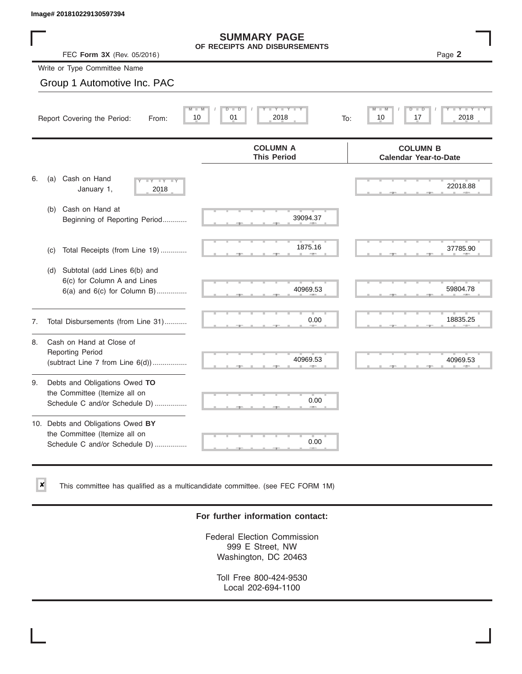$\vert x \vert$ 

|    | Image# 201810229130597394                                                                             |                                                      |                                                 |
|----|-------------------------------------------------------------------------------------------------------|------------------------------------------------------|-------------------------------------------------|
|    | FEC Form 3X (Rev. 05/2016)                                                                            | <b>SUMMARY PAGE</b><br>OF RECEIPTS AND DISBURSEMENTS | Page 2                                          |
|    | Write or Type Committee Name                                                                          |                                                      |                                                 |
|    | Group 1 Automotive Inc. PAC                                                                           |                                                      |                                                 |
|    | Report Covering the Period:<br>From:                                                                  | Y TY<br>D<br>Ð<br>01<br>10<br>2018<br>To:            | $-M$<br>D<br>$-$ D<br>17<br>2018<br>10          |
|    |                                                                                                       | <b>COLUMN A</b><br><b>This Period</b>                | <b>COLUMN B</b><br><b>Calendar Year-to-Date</b> |
| 6. | Cash on Hand<br>(a)<br>$-Y - Y - Y$<br>January 1,<br>2018                                             |                                                      | 22018.88                                        |
|    | Cash on Hand at<br>(b)<br>Beginning of Reporting Period                                               | 39094.37                                             |                                                 |
|    | Total Receipts (from Line 19)<br>(c)                                                                  | 1875.16                                              | 37785.90                                        |
|    | Subtotal (add Lines 6(b) and<br>(d)<br>6(c) for Column A and Lines<br>$6(a)$ and $6(c)$ for Column B) | 40969.53                                             | 59804.78                                        |
| 7. | Total Disbursements (from Line 31)                                                                    | 0.00                                                 | 18835.25                                        |
| 8. | Cash on Hand at Close of<br><b>Reporting Period</b><br>(subtract Line $7$ from Line $6(d)$ )          | 40969.53                                             | 40969.53                                        |
| 9. | Debts and Obligations Owed TO<br>the Committee (Itemize all on<br>Schedule C and/or Schedule D)       | 0.00                                                 |                                                 |
|    | 10. Debts and Obligations Owed BY<br>the Committee (Itemize all on<br>Schedule C and/or Schedule D)   | т<br>0.00                                            |                                                 |

This committee has qualified as a multicandidate committee. (see FEC FORM 1M)

### **For further information contact:**

Federal Election Commission 999 E Street, NW Washington, DC 20463

Toll Free 800-424-9530 Local 202-694-1100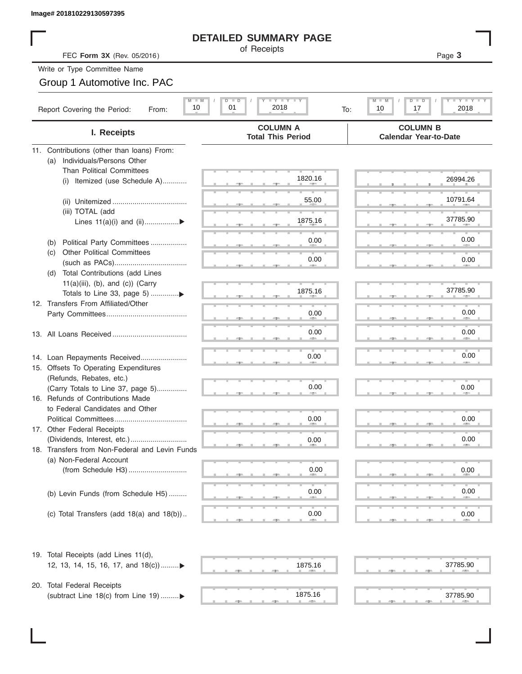# **DETAILED SUMMARY PAGE**

| of Receipts |
|-------------|
|             |

# Group 1 Automotive Inc. PAC

| Image# 201810229130597395                                     |                                                                           |                                                               |
|---------------------------------------------------------------|---------------------------------------------------------------------------|---------------------------------------------------------------|
|                                                               | <b>DETAILED SUMMARY PAGE</b>                                              |                                                               |
| FEC Form 3X (Rev. 05/2016)                                    | of Receipts                                                               | Page 3                                                        |
| Write or Type Committee Name                                  |                                                                           |                                                               |
| Group 1 Automotive Inc. PAC                                   |                                                                           |                                                               |
| Report Covering the Period:<br>From:                          | $M$ $M$<br>$I - Y - I - Y - I - Y$<br>D I<br>ъ<br>10<br>01<br>2018<br>To: | M<br><b>LEY LEY LE</b><br>$D$ $\Box$<br>ъ<br>2018<br>10<br>17 |
| I. Receipts                                                   | <b>COLUMN A</b><br><b>Total This Period</b>                               | <b>COLUMN B</b><br><b>Calendar Year-to-Date</b>               |
| 11. Contributions (other than loans) From:                    |                                                                           |                                                               |
| Individuals/Persons Other<br>(a)                              |                                                                           |                                                               |
| <b>Than Political Committees</b>                              | 1820.16                                                                   | 26994.26                                                      |
| Itemized (use Schedule A)<br>(i)                              |                                                                           |                                                               |
|                                                               | 55.00                                                                     | 10791.64                                                      |
| (iii) TOTAL (add                                              |                                                                           |                                                               |
| Lines $11(a)(i)$ and $(ii)$                                   | 1875.16                                                                   | 37785.90                                                      |
|                                                               |                                                                           |                                                               |
| Political Party Committees<br>(b)                             | 0.00                                                                      | 0.00                                                          |
| <b>Other Political Committees</b><br>(C)                      | 0.00                                                                      | 0.00                                                          |
| Total Contributions (add Lines                                |                                                                           |                                                               |
| (d)<br>$11(a)(iii)$ , (b), and (c)) (Carry                    |                                                                           |                                                               |
|                                                               | 1875.16                                                                   | 37785.90                                                      |
| 12. Transfers From Affiliated/Other                           |                                                                           |                                                               |
|                                                               | 0.00                                                                      | 0.00                                                          |
|                                                               |                                                                           |                                                               |
|                                                               | 0.00                                                                      | 0.00                                                          |
|                                                               |                                                                           |                                                               |
| 14. Loan Repayments Received                                  | 0.00                                                                      | 0.00                                                          |
| 15. Offsets To Operating Expenditures                         |                                                                           |                                                               |
| (Refunds, Rebates, etc.)<br>(Carry Totals to Line 37, page 5) | 0.00                                                                      | 0.00                                                          |
| 16. Refunds of Contributions Made                             |                                                                           |                                                               |
| to Federal Candidates and Other                               |                                                                           |                                                               |
| Political Committees                                          | 0.00                                                                      | 0.00                                                          |
| 17. Other Federal Receipts                                    |                                                                           |                                                               |
|                                                               | 0.00                                                                      | 0.00                                                          |
| 18. Transfers from Non-Federal and Levin Funds                |                                                                           |                                                               |
| (a) Non-Federal Account                                       |                                                                           |                                                               |
|                                                               | 0.00                                                                      | 0.00                                                          |
|                                                               | 0.00                                                                      | 0.00                                                          |
| (b) Levin Funds (from Schedule H5)                            |                                                                           |                                                               |
| (c) Total Transfers (add $18(a)$ and $18(b)$ )                | 0.00                                                                      | 0.00                                                          |
|                                                               |                                                                           |                                                               |
| 19. Total Receipts (add Lines 11(d),                          |                                                                           |                                                               |
| 12, 13, 14, 15, 16, 17, and 18(c))                            | 1875.16                                                                   | 37785.90                                                      |
| 20. Total Federal Receipts                                    |                                                                           |                                                               |
| (subtract Line 18(c) from Line 19)▶                           | 1875.16                                                                   | 37785.90                                                      |

 ▲ ▲ ▲ , , . ▲ ▲ ▲ , , . 1875.16 37785.90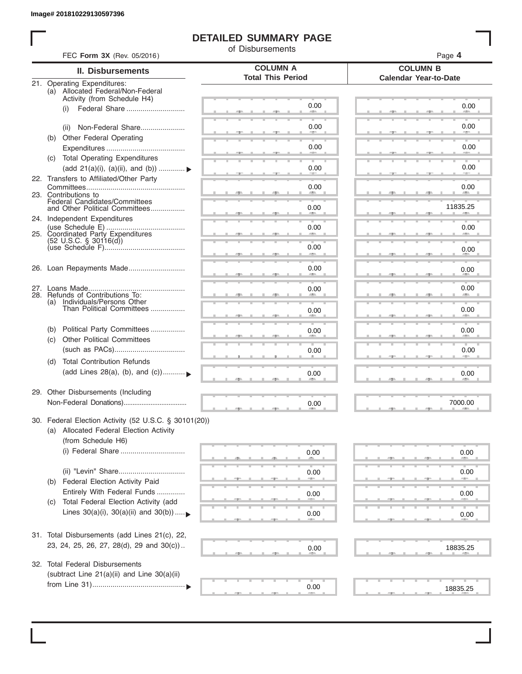I

# **DETAILED SUMMARY PAGE**

of Disbursements

| FEC Form 3X (Rev. 05/2016) |                                                                                                 |                                             | Page 4                                          |  |  |  |  |
|----------------------------|-------------------------------------------------------------------------------------------------|---------------------------------------------|-------------------------------------------------|--|--|--|--|
| <b>II. Disbursements</b>   |                                                                                                 | <b>COLUMN A</b><br><b>Total This Period</b> | <b>COLUMN B</b><br><b>Calendar Year-to-Date</b> |  |  |  |  |
|                            | 21. Operating Expenditures:<br>(a) Allocated Federal/Non-Federal<br>Activity (from Schedule H4) |                                             |                                                 |  |  |  |  |
|                            | (i)                                                                                             | 0.00                                        | 0.00                                            |  |  |  |  |
|                            | Non-Federal Share<br>(ii)                                                                       | 0.00                                        | 0.00                                            |  |  |  |  |
| (b)                        | Other Federal Operating                                                                         | 0.00                                        | 0.00                                            |  |  |  |  |
|                            | (c) Total Operating Expenditures<br>(add 21(a)(i), (a)(ii), and (b))                            | 0.00                                        | 0.00                                            |  |  |  |  |
|                            | 22. Transfers to Affiliated/Other Party                                                         | 0.00                                        | 0.00                                            |  |  |  |  |
|                            | 23. Contributions to<br>Federal Candidates/Committees<br>and Other Political Committees         | 0.00                                        | <b>AREA</b><br>11835.25                         |  |  |  |  |
|                            | 24. Independent Expenditures                                                                    | 0.00                                        | 0.00                                            |  |  |  |  |
|                            | 25. Coordinated Party Expenditures<br>$(52 \text{ U.S.C. }$ § 30116(d))                         | 0.00                                        |                                                 |  |  |  |  |
|                            |                                                                                                 |                                             | 0.00                                            |  |  |  |  |
|                            | 26. Loan Repayments Made                                                                        | 0.00                                        | 0.00                                            |  |  |  |  |
|                            | 28. Refunds of Contributions To:<br>(a) Individuals/Persons Other                               | 0.00                                        | 0.00                                            |  |  |  |  |
|                            | Than Political Committees                                                                       | 0.00                                        | 0.00                                            |  |  |  |  |
| (b)<br>(C)                 | Political Party Committees<br><b>Other Political Committees</b>                                 | 0.00                                        | 0.00                                            |  |  |  |  |
|                            |                                                                                                 | 0.00                                        | 0.00                                            |  |  |  |  |
| (d)                        | <b>Total Contribution Refunds</b><br>(add Lines 28(a), (b), and (c))                            | 0.00                                        | 0.00                                            |  |  |  |  |
|                            | 29. Other Disbursements (Including                                                              | 0.00                                        | 7000.00                                         |  |  |  |  |
|                            | 30. Federal Election Activity (52 U.S.C. § 30101(20))                                           |                                             |                                                 |  |  |  |  |
|                            | (a) Allocated Federal Election Activity<br>(from Schedule H6)                                   |                                             |                                                 |  |  |  |  |
|                            | (i) Federal Share                                                                               | 0.00                                        | 0.00                                            |  |  |  |  |
|                            |                                                                                                 | 0.00                                        | 0.00                                            |  |  |  |  |
| (b)                        | Federal Election Activity Paid<br>Entirely With Federal Funds                                   | 0.00                                        | 0.00                                            |  |  |  |  |
| (C)                        | Total Federal Election Activity (add<br>Lines $30(a)(i)$ , $30(a)(ii)$ and $30(b))$             | 0.00                                        | 0.00                                            |  |  |  |  |
|                            |                                                                                                 |                                             |                                                 |  |  |  |  |
|                            | 31. Total Disbursements (add Lines 21(c), 22,<br>23, 24, 25, 26, 27, 28(d), 29 and 30(c))       | 0.00                                        | 18835.25                                        |  |  |  |  |
|                            | 32. Total Federal Disbursements                                                                 |                                             |                                                 |  |  |  |  |
|                            | (subtract Line 21(a)(ii) and Line 30(a)(ii)                                                     | 0.00                                        | 18835.25                                        |  |  |  |  |
|                            |                                                                                                 |                                             |                                                 |  |  |  |  |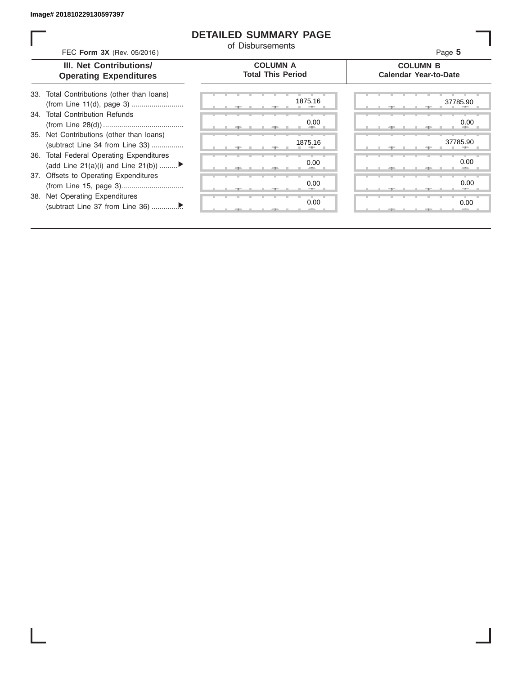# **DETAILED SUMMARY PAGE**

of Disbursements

|                                                                                | FEC Form 3X (Rev. 05/2016)                  |                                                 |  |  |  |  |  |
|--------------------------------------------------------------------------------|---------------------------------------------|-------------------------------------------------|--|--|--|--|--|
| III. Net Contributions/<br><b>Operating Expenditures</b>                       | <b>COLUMN A</b><br><b>Total This Period</b> | <b>COLUMN B</b><br><b>Calendar Year-to-Date</b> |  |  |  |  |  |
| Total Contributions (other than loans)<br>33.                                  | 1875.16                                     | 37785.90                                        |  |  |  |  |  |
| <b>Total Contribution Refunds</b><br>34.                                       | 0.00                                        | 0.00                                            |  |  |  |  |  |
| 35. Net Contributions (other than loans)<br>(subtract Line 34 from Line 33)    | 1875.16                                     | 37785.90                                        |  |  |  |  |  |
| 36. Total Federal Operating Expenditures<br>(add Line 21(a)(i) and Line 21(b)) | 0.00                                        | 0.00                                            |  |  |  |  |  |
| 37. Offsets to Operating Expenditures                                          | 0.00                                        | 0.00                                            |  |  |  |  |  |
| 38. Net Operating Expenditures                                                 | 0.00                                        | 0.00                                            |  |  |  |  |  |
|                                                                                |                                             |                                                 |  |  |  |  |  |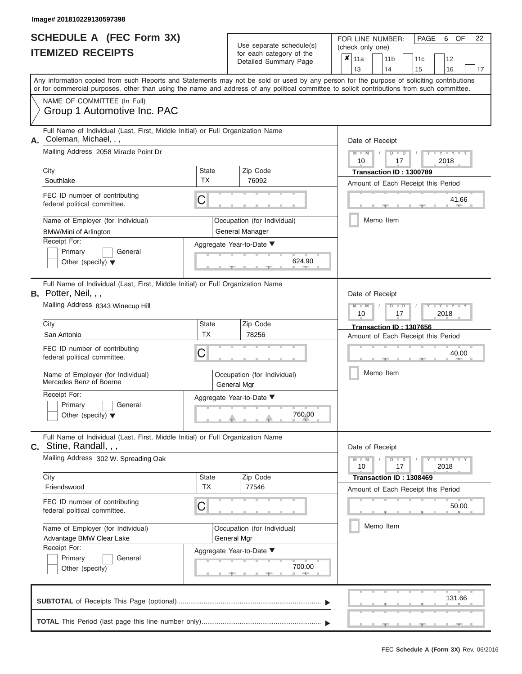|                          | SCHEDULE A (FEC Form 3X) |  |
|--------------------------|--------------------------|--|
| <b>ITEMIZED RECEIPTS</b> |                          |  |

FOR LINE NUMBER:<br>(check only one) Use separate schedule(s)<br>for each category of the

|    |                                                                                                                                                                                                                                                                                         |                           | $\frac{1}{2}$<br>Detailed Summary Page                | ×         | 11a<br>13       |  | 11 <sub>b</sub><br>14     | 11c<br>15                                                            | 12<br>16      | 17    |  |
|----|-----------------------------------------------------------------------------------------------------------------------------------------------------------------------------------------------------------------------------------------------------------------------------------------|---------------------------|-------------------------------------------------------|-----------|-----------------|--|---------------------------|----------------------------------------------------------------------|---------------|-------|--|
|    | Any information copied from such Reports and Statements may not be sold or used by any person for the purpose of soliciting contributions<br>or for commercial purposes, other than using the name and address of any political committee to solicit contributions from such committee. |                           |                                                       |           |                 |  |                           |                                                                      |               |       |  |
|    | NAME OF COMMITTEE (In Full)<br>Group 1 Automotive Inc. PAC                                                                                                                                                                                                                              |                           |                                                       |           |                 |  |                           |                                                                      |               |       |  |
| А. | Full Name of Individual (Last, First, Middle Initial) or Full Organization Name<br>Coleman, Michael, , ,                                                                                                                                                                                |                           |                                                       |           | Date of Receipt |  |                           |                                                                      |               |       |  |
|    | Mailing Address 2058 Miracle Point Dr                                                                                                                                                                                                                                                   |                           |                                                       |           | $M - M$<br>10   |  | $D$ $D$<br>17             |                                                                      | 2018          |       |  |
|    | City<br>Southlake                                                                                                                                                                                                                                                                       | <b>State</b><br><b>TX</b> | Zip Code<br>76092                                     |           |                 |  |                           | Transaction ID: 1300789<br>Amount of Each Receipt this Period        |               |       |  |
|    | FEC ID number of contributing<br>federal political committee.                                                                                                                                                                                                                           | С                         |                                                       |           |                 |  |                           |                                                                      |               | 41.66 |  |
|    | Name of Employer (for Individual)<br><b>BMW/Mini of Arlington</b>                                                                                                                                                                                                                       |                           | Occupation (for Individual)<br><b>General Manager</b> |           |                 |  | Memo Item                 |                                                                      |               |       |  |
|    | Receipt For:<br>Primary<br>General<br>Other (specify) $\blacktriangledown$                                                                                                                                                                                                              |                           | Aggregate Year-to-Date ▼<br>624.90                    |           |                 |  |                           |                                                                      |               |       |  |
|    | Full Name of Individual (Last, First, Middle Initial) or Full Organization Name<br>B. Potter, Neil, , ,                                                                                                                                                                                 |                           |                                                       |           | Date of Receipt |  |                           |                                                                      |               |       |  |
|    | Mailing Address 8343 Winecup Hill                                                                                                                                                                                                                                                       |                           |                                                       |           | $M - M$<br>10   |  | 17                        |                                                                      | 2018          |       |  |
|    | City<br>San Antonio                                                                                                                                                                                                                                                                     | <b>State</b><br><b>TX</b> | Zip Code<br>78256                                     |           |                 |  |                           | <b>Transaction ID: 1307656</b><br>Amount of Each Receipt this Period |               |       |  |
|    | FEC ID number of contributing<br>federal political committee.                                                                                                                                                                                                                           | С                         |                                                       |           | 40.00           |  |                           |                                                                      |               |       |  |
|    | Name of Employer (for Individual)<br>Mercedes Benz of Boerne                                                                                                                                                                                                                            |                           | Occupation (for Individual)<br>General Mgr            |           |                 |  | Memo Item                 |                                                                      |               |       |  |
|    | Receipt For:<br>Primary<br>General<br>Other (specify) $\blacktriangledown$                                                                                                                                                                                                              |                           | Aggregate Year-to-Date ▼<br>760.00                    |           |                 |  |                           |                                                                      |               |       |  |
|    | Full Name of Individual (Last, First, Middle Initial) or Full Organization Name<br>C. Stine, Randall, , ,                                                                                                                                                                               |                           |                                                       |           | Date of Receipt |  |                           |                                                                      |               |       |  |
|    | Mailing Address 302 W. Spreading Oak                                                                                                                                                                                                                                                    |                           |                                                       |           | $M - M$<br>10   |  | D<br>$\blacksquare$<br>17 |                                                                      | Y TYT<br>2018 |       |  |
|    | City<br>Friendswood                                                                                                                                                                                                                                                                     | <b>State</b><br><b>TX</b> | Zip Code<br>77546                                     |           |                 |  |                           | Transaction ID: 1308469<br>Amount of Each Receipt this Period        |               |       |  |
|    | FEC ID number of contributing<br>federal political committee.                                                                                                                                                                                                                           | С                         |                                                       |           |                 |  |                           |                                                                      |               | 50.00 |  |
|    | Name of Employer (for Individual)<br>Advantage BMW Clear Lake<br>Receipt For:                                                                                                                                                                                                           |                           | Occupation (for Individual)<br>General Mgr            | Memo Item |                 |  |                           |                                                                      |               |       |  |
|    | Primary<br>General<br>Other (specify)                                                                                                                                                                                                                                                   |                           | Aggregate Year-to-Date ▼<br>700.00                    |           |                 |  |                           |                                                                      |               |       |  |
|    |                                                                                                                                                                                                                                                                                         |                           |                                                       |           |                 |  |                           |                                                                      | 131.66        |       |  |
|    |                                                                                                                                                                                                                                                                                         |                           |                                                       |           |                 |  |                           |                                                                      |               |       |  |

PAGE 6 OF 22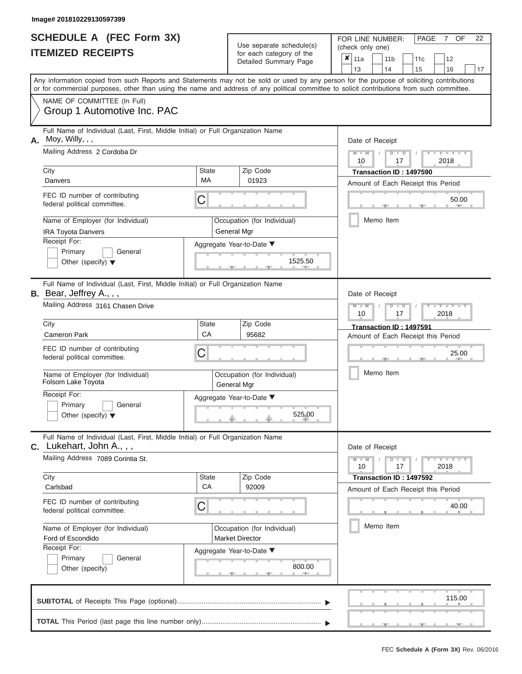|                          | <b>SCHEDULE A (FEC Form 3X)</b>                                                                                                                                                                                                                                                         |                    |                                                   | 22<br>FOR LINE NUMBER:<br>PAGE<br>$7^{\circ}$<br>OF                           |  |  |  |  |  |  |  |  |
|--------------------------|-----------------------------------------------------------------------------------------------------------------------------------------------------------------------------------------------------------------------------------------------------------------------------------------|--------------------|---------------------------------------------------|-------------------------------------------------------------------------------|--|--|--|--|--|--|--|--|
|                          |                                                                                                                                                                                                                                                                                         |                    | Use separate schedule(s)                          | (check only one)                                                              |  |  |  |  |  |  |  |  |
| <b>ITEMIZED RECEIPTS</b> |                                                                                                                                                                                                                                                                                         |                    | for each category of the<br>Detailed Summary Page | $\pmb{\times}$<br>11a<br>11 <sub>b</sub><br>12<br>11c                         |  |  |  |  |  |  |  |  |
|                          |                                                                                                                                                                                                                                                                                         |                    |                                                   | 13<br>14<br>15<br>16<br>17                                                    |  |  |  |  |  |  |  |  |
|                          | Any information copied from such Reports and Statements may not be sold or used by any person for the purpose of soliciting contributions<br>or for commercial purposes, other than using the name and address of any political committee to solicit contributions from such committee. |                    |                                                   |                                                                               |  |  |  |  |  |  |  |  |
|                          | NAME OF COMMITTEE (In Full)                                                                                                                                                                                                                                                             |                    |                                                   |                                                                               |  |  |  |  |  |  |  |  |
|                          | Group 1 Automotive Inc. PAC                                                                                                                                                                                                                                                             |                    |                                                   |                                                                               |  |  |  |  |  |  |  |  |
| А.                       | Full Name of Individual (Last, First, Middle Initial) or Full Organization Name<br>Moy, Willy, , ,                                                                                                                                                                                      |                    |                                                   | Date of Receipt                                                               |  |  |  |  |  |  |  |  |
|                          | Mailing Address 2 Cordoba Dr                                                                                                                                                                                                                                                            |                    |                                                   | $D$ $D$<br>2018<br>10<br>17                                                   |  |  |  |  |  |  |  |  |
|                          | City                                                                                                                                                                                                                                                                                    | <b>State</b>       | Zip Code                                          | Transaction ID: 1497590                                                       |  |  |  |  |  |  |  |  |
|                          | Danvers                                                                                                                                                                                                                                                                                 | МA                 | 01923                                             | Amount of Each Receipt this Period                                            |  |  |  |  |  |  |  |  |
|                          | FEC ID number of contributing<br>federal political committee.                                                                                                                                                                                                                           | С                  |                                                   | 50.00                                                                         |  |  |  |  |  |  |  |  |
|                          | Name of Employer (for Individual)<br><b>IRA Toyota Danvers</b>                                                                                                                                                                                                                          |                    | Occupation (for Individual)<br>General Mgr        | Memo Item                                                                     |  |  |  |  |  |  |  |  |
|                          | Receipt For:                                                                                                                                                                                                                                                                            |                    | Aggregate Year-to-Date ▼                          |                                                                               |  |  |  |  |  |  |  |  |
|                          | Primary<br>General                                                                                                                                                                                                                                                                      |                    |                                                   |                                                                               |  |  |  |  |  |  |  |  |
|                          | Other (specify) $\blacktriangledown$                                                                                                                                                                                                                                                    |                    | 1525.50                                           |                                                                               |  |  |  |  |  |  |  |  |
|                          | Full Name of Individual (Last, First, Middle Initial) or Full Organization Name<br>B. Bear, Jeffrey A., , ,                                                                                                                                                                             |                    |                                                   | Date of Receipt                                                               |  |  |  |  |  |  |  |  |
|                          | Mailing Address 3161 Chasen Drive                                                                                                                                                                                                                                                       |                    |                                                   | $Y - Y$<br>$\overline{\mathsf{M}}$<br>$-W$<br>₽<br>$\Box$<br>2018<br>10<br>17 |  |  |  |  |  |  |  |  |
|                          | City                                                                                                                                                                                                                                                                                    | <b>State</b>       | Zip Code                                          | Transaction ID: 1497591                                                       |  |  |  |  |  |  |  |  |
|                          | <b>Cameron Park</b>                                                                                                                                                                                                                                                                     | CA                 | 95682                                             | Amount of Each Receipt this Period                                            |  |  |  |  |  |  |  |  |
|                          | FEC ID number of contributing<br>federal political committee.                                                                                                                                                                                                                           | С                  |                                                   | 25.00                                                                         |  |  |  |  |  |  |  |  |
|                          | Name of Employer (for Individual)<br>Folsom Lake Toyota                                                                                                                                                                                                                                 |                    | Occupation (for Individual)<br>General Mgr        | Memo Item                                                                     |  |  |  |  |  |  |  |  |
|                          | Receipt For:                                                                                                                                                                                                                                                                            |                    | Aggregate Year-to-Date ▼                          |                                                                               |  |  |  |  |  |  |  |  |
|                          | Primary<br>General<br>Other (specify) $\blacktriangledown$                                                                                                                                                                                                                              |                    | 525.00                                            |                                                                               |  |  |  |  |  |  |  |  |
|                          |                                                                                                                                                                                                                                                                                         |                    |                                                   |                                                                               |  |  |  |  |  |  |  |  |
|                          | Full Name of Individual (Last, First, Middle Initial) or Full Organization Name<br>C. Lukehart, John A., , ,                                                                                                                                                                            |                    |                                                   | Date of Receipt                                                               |  |  |  |  |  |  |  |  |
|                          | Mailing Address 7089 Corintia St.                                                                                                                                                                                                                                                       |                    |                                                   | $-Y - Y - Y$<br>$-W$<br>$D$ $D$<br>17<br>2018<br>10                           |  |  |  |  |  |  |  |  |
|                          | City<br>Carlsbad                                                                                                                                                                                                                                                                        | <b>State</b><br>CA | Zip Code<br>92009                                 | Transaction ID: 1497592                                                       |  |  |  |  |  |  |  |  |
|                          |                                                                                                                                                                                                                                                                                         |                    |                                                   | Amount of Each Receipt this Period                                            |  |  |  |  |  |  |  |  |
|                          | FEC ID number of contributing<br>federal political committee.                                                                                                                                                                                                                           | С                  |                                                   | 40.00                                                                         |  |  |  |  |  |  |  |  |
|                          | Name of Employer (for Individual)                                                                                                                                                                                                                                                       |                    | Occupation (for Individual)                       | Memo Item                                                                     |  |  |  |  |  |  |  |  |
|                          | Ford of Escondido                                                                                                                                                                                                                                                                       |                    | <b>Market Director</b>                            |                                                                               |  |  |  |  |  |  |  |  |
|                          | Receipt For:                                                                                                                                                                                                                                                                            |                    | Aggregate Year-to-Date ▼                          |                                                                               |  |  |  |  |  |  |  |  |
|                          | Primary<br>General<br>Other (specify)                                                                                                                                                                                                                                                   |                    | 800.00                                            |                                                                               |  |  |  |  |  |  |  |  |
|                          |                                                                                                                                                                                                                                                                                         |                    |                                                   | 115.00                                                                        |  |  |  |  |  |  |  |  |

|  |  |  |  |  | the contract of the contract of the contract of the contract of the contract of the contract of the contract of |
|--|--|--|--|--|-----------------------------------------------------------------------------------------------------------------|
|  |  |  |  |  | ___________                                                                                                     |
|  |  |  |  |  | the contract of the contract of the con-                                                                        |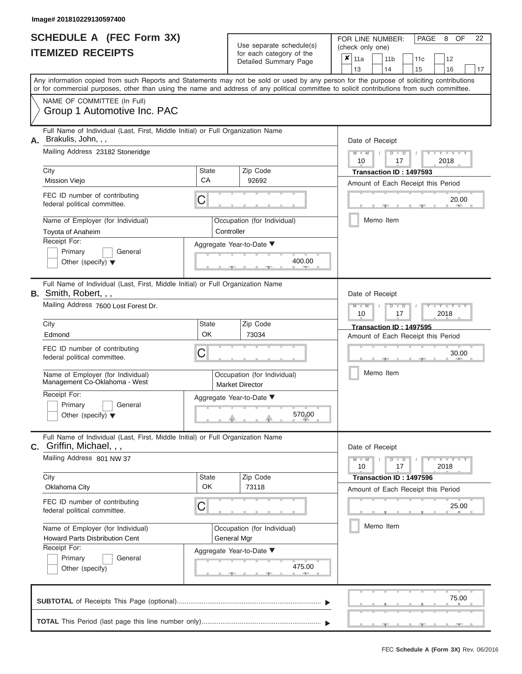| <b>SCHEDULE A (FEC Form 3X)</b><br><b>ITEMIZED RECEIPTS</b>                                                                                                                                                                                                                             |              | Use separate schedule(s)<br>for each category of the  |           | FOR LINE NUMBER:<br>(check only one) |                 |                      | PAGE                               | 8                      | OF    | 22 |
|-----------------------------------------------------------------------------------------------------------------------------------------------------------------------------------------------------------------------------------------------------------------------------------------|--------------|-------------------------------------------------------|-----------|--------------------------------------|-----------------|----------------------|------------------------------------|------------------------|-------|----|
|                                                                                                                                                                                                                                                                                         |              | Detailed Summary Page                                 |           | $\overline{\mathbf{x}}$ 11a          | 11 <sub>b</sub> |                      | 11c                                | 12                     |       |    |
|                                                                                                                                                                                                                                                                                         |              |                                                       |           | 13                                   | 14              |                      | 15                                 | 16                     |       | 17 |
| Any information copied from such Reports and Statements may not be sold or used by any person for the purpose of soliciting contributions<br>or for commercial purposes, other than using the name and address of any political committee to solicit contributions from such committee. |              |                                                       |           |                                      |                 |                      |                                    |                        |       |    |
| NAME OF COMMITTEE (In Full)                                                                                                                                                                                                                                                             |              |                                                       |           |                                      |                 |                      |                                    |                        |       |    |
| Group 1 Automotive Inc. PAC                                                                                                                                                                                                                                                             |              |                                                       |           |                                      |                 |                      |                                    |                        |       |    |
| Full Name of Individual (Last, First, Middle Initial) or Full Organization Name<br>A. Brakulis, John, , ,                                                                                                                                                                               |              |                                                       |           |                                      | Date of Receipt |                      |                                    |                        |       |    |
| Mailing Address 23182 Stoneridge                                                                                                                                                                                                                                                        |              |                                                       |           | $M - M$<br>10                        | $\sqrt{ }$      | $D$ $\Box$ $D$<br>17 | T                                  | $Y - Y$<br>2018        |       |    |
| City                                                                                                                                                                                                                                                                                    | <b>State</b> | Zip Code                                              |           |                                      |                 |                      | Transaction ID: 1497593            |                        |       |    |
| <b>Mission Viejo</b>                                                                                                                                                                                                                                                                    | CA           | 92692                                                 |           |                                      |                 |                      | Amount of Each Receipt this Period |                        |       |    |
| FEC ID number of contributing<br>federal political committee.                                                                                                                                                                                                                           | С            |                                                       |           |                                      |                 |                      | 20.00                              |                        |       |    |
| Name of Employer (for Individual)                                                                                                                                                                                                                                                       |              | Occupation (for Individual)                           | Memo Item |                                      |                 |                      |                                    |                        |       |    |
| Toyota of Anaheim                                                                                                                                                                                                                                                                       | Controller   |                                                       |           |                                      |                 |                      |                                    |                        |       |    |
| Receipt For:                                                                                                                                                                                                                                                                            |              | Aggregate Year-to-Date ▼                              |           |                                      |                 |                      |                                    |                        |       |    |
| Primary<br>General                                                                                                                                                                                                                                                                      |              | 400.00                                                |           |                                      |                 |                      |                                    |                        |       |    |
| Other (specify) $\blacktriangledown$                                                                                                                                                                                                                                                    |              |                                                       |           |                                      |                 |                      |                                    |                        |       |    |
| Full Name of Individual (Last, First, Middle Initial) or Full Organization Name<br>B. Smith, Robert, , ,                                                                                                                                                                                |              |                                                       |           |                                      |                 |                      |                                    |                        |       |    |
|                                                                                                                                                                                                                                                                                         |              |                                                       |           |                                      | Date of Receipt |                      |                                    |                        |       |    |
|                                                                                                                                                                                                                                                                                         |              |                                                       |           | $M - M$                              |                 | $D$ $\Box$ $D$<br>17 |                                    | $\overline{Y}$<br>2018 |       |    |
| Mailing Address 7600 Lost Forest Dr.                                                                                                                                                                                                                                                    |              |                                                       |           | 10                                   |                 |                      |                                    |                        |       |    |
| City                                                                                                                                                                                                                                                                                    | <b>State</b> | Zip Code                                              |           |                                      |                 |                      | Transaction ID: 1497595            |                        |       |    |
| Edmond                                                                                                                                                                                                                                                                                  | OK           | 73034                                                 |           |                                      |                 |                      | Amount of Each Receipt this Period |                        |       |    |
| FEC ID number of contributing<br>federal political committee.                                                                                                                                                                                                                           | C            |                                                       |           |                                      |                 |                      |                                    |                        | 30.00 |    |
| Name of Employer (for Individual)<br>Management Co-Oklahoma - West                                                                                                                                                                                                                      |              | Occupation (for Individual)<br><b>Market Director</b> |           |                                      | Memo Item       |                      |                                    |                        |       |    |
| Receipt For:                                                                                                                                                                                                                                                                            |              | Aggregate Year-to-Date ▼                              |           |                                      |                 |                      |                                    |                        |       |    |

Full Name of Individual (Last, First, Middle Initial) or Full Organization Name **C.** Griffin, Michael, , ,

| Mailing Address 801 NW 37                                                                  |                          |                             | $Y - Y - Y$<br>10<br>17<br>2018                               |
|--------------------------------------------------------------------------------------------|--------------------------|-----------------------------|---------------------------------------------------------------|
| City<br>Oklahoma City                                                                      | <b>State</b><br>OK       | Zip Code<br>73118           | Transaction ID: 1497596<br>Amount of Each Receipt this Period |
| FEC ID number of contributing<br>federal political committee.                              | С                        |                             | 25.00                                                         |
| Name of Employer (for Individual)<br><b>Howard Parts Disbribution Cent</b><br>Receipt For: | General Mgr              | Occupation (for Individual) | Memo Item                                                     |
| Primary<br>General<br>Other (specify)                                                      | Aggregate Year-to-Date ▼ | 475.00                      |                                                               |
|                                                                                            |                          |                             | 75.00                                                         |
|                                                                                            |                          |                             | <b>AND</b>                                                    |

Date of Receipt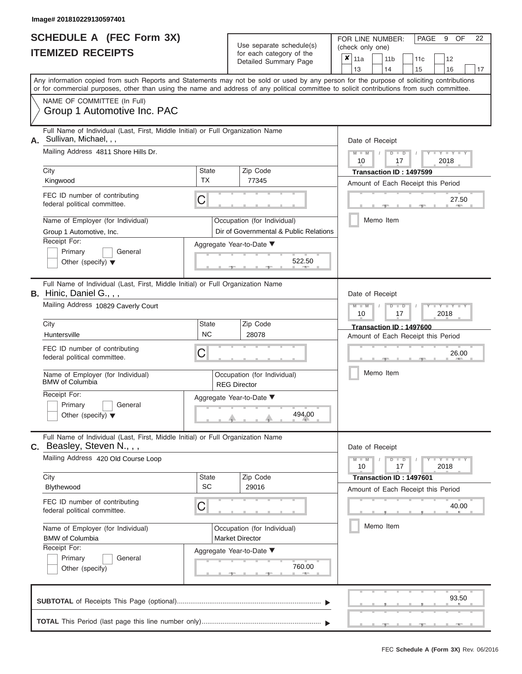|                          | <b>SCHEDULE A (FEC Form 3X)</b> |
|--------------------------|---------------------------------|
| <b>ITEMIZED RECEIPTS</b> |                                 |

FOR LINE NUMBER:<br>(check only one) Use separate schedule(s) (check only one) for each category of the

|                                     | TEMIZED RECEIPTS                                                                                                                                                                                                                                                                        |                           |  | for each category of the<br>Detailed Summary Page                     |                                                               | ×<br>11a<br>13                         |                 |  | 11 <sub>b</sub><br>14 |                      | 11 <sub>c</sub><br>15                                         |      | 12<br>16    | 17 |  |  |
|-------------------------------------|-----------------------------------------------------------------------------------------------------------------------------------------------------------------------------------------------------------------------------------------------------------------------------------------|---------------------------|--|-----------------------------------------------------------------------|---------------------------------------------------------------|----------------------------------------|-----------------|--|-----------------------|----------------------|---------------------------------------------------------------|------|-------------|----|--|--|
|                                     | Any information copied from such Reports and Statements may not be sold or used by any person for the purpose of soliciting contributions<br>or for commercial purposes, other than using the name and address of any political committee to solicit contributions from such committee. |                           |  |                                                                       |                                                               |                                        |                 |  |                       |                      |                                                               |      |             |    |  |  |
|                                     | NAME OF COMMITTEE (In Full)<br>Group 1 Automotive Inc. PAC                                                                                                                                                                                                                              |                           |  |                                                                       |                                                               |                                        |                 |  |                       |                      |                                                               |      |             |    |  |  |
| А.                                  | Full Name of Individual (Last, First, Middle Initial) or Full Organization Name<br>Sullivan, Michael, , ,                                                                                                                                                                               |                           |  |                                                                       |                                                               |                                        | Date of Receipt |  |                       |                      |                                                               |      |             |    |  |  |
|                                     | Mailing Address 4811 Shore Hills Dr.                                                                                                                                                                                                                                                    |                           |  |                                                                       |                                                               | $Y = Y = Y$<br>⊪ D<br>2018<br>10<br>17 |                 |  |                       |                      |                                                               |      |             |    |  |  |
|                                     | City<br>Kingwood                                                                                                                                                                                                                                                                        | <b>State</b><br>TX        |  | Zip Code<br>77345                                                     | Transaction ID: 1497599<br>Amount of Each Receipt this Period |                                        |                 |  |                       |                      |                                                               |      |             |    |  |  |
|                                     | FEC ID number of contributing<br>federal political committee.                                                                                                                                                                                                                           | C                         |  |                                                                       |                                                               |                                        |                 |  |                       |                      |                                                               |      | 27.50       |    |  |  |
|                                     | Name of Employer (for Individual)<br>Group 1 Automotive, Inc.                                                                                                                                                                                                                           |                           |  | Occupation (for Individual)<br>Dir of Governmental & Public Relations |                                                               |                                        |                 |  | Memo Item             |                      |                                                               |      |             |    |  |  |
|                                     | Receipt For:<br>Aggregate Year-to-Date ▼<br>Primary<br>General<br>522.50<br>Other (specify) $\blacktriangledown$                                                                                                                                                                        |                           |  |                                                                       |                                                               |                                        |                 |  |                       |                      |                                                               |      |             |    |  |  |
|                                     | Full Name of Individual (Last, First, Middle Initial) or Full Organization Name<br>B. Hinic, Daniel G., , ,                                                                                                                                                                             |                           |  |                                                                       |                                                               |                                        |                 |  | Date of Receipt       |                      |                                                               |      |             |    |  |  |
| Mailing Address 10829 Caverly Court |                                                                                                                                                                                                                                                                                         |                           |  |                                                                       |                                                               |                                        | 10              |  |                       | ס<br>17              |                                                               | 2018 | Y TYT       |    |  |  |
|                                     | City<br>Huntersville                                                                                                                                                                                                                                                                    | <b>State</b><br><b>NC</b> |  | Zip Code<br>28078                                                     | Transaction ID: 1497600<br>Amount of Each Receipt this Period |                                        |                 |  |                       |                      |                                                               |      |             |    |  |  |
|                                     | FEC ID number of contributing<br>federal political committee.                                                                                                                                                                                                                           | С                         |  |                                                                       | 26.00                                                         |                                        |                 |  |                       |                      |                                                               |      |             |    |  |  |
|                                     | Name of Employer (for Individual)<br><b>BMW</b> of Columbia                                                                                                                                                                                                                             |                           |  | Occupation (for Individual)<br><b>REG Director</b>                    |                                                               |                                        |                 |  | Memo Item             |                      |                                                               |      |             |    |  |  |
|                                     | Receipt For:<br>Primary<br>General<br>Other (specify) $\blacktriangledown$                                                                                                                                                                                                              |                           |  | Aggregate Year-to-Date ▼<br>494.00                                    |                                                               |                                        |                 |  |                       |                      |                                                               |      |             |    |  |  |
|                                     | Full Name of Individual (Last, First, Middle Initial) or Full Organization Name<br>$C.$ Beasley, Steven N., , ,                                                                                                                                                                         |                           |  |                                                                       |                                                               |                                        |                 |  | Date of Receipt       |                      |                                                               |      |             |    |  |  |
|                                     | Mailing Address 420 Old Course Loop                                                                                                                                                                                                                                                     |                           |  |                                                                       |                                                               |                                        | $M - M$<br>10   |  | D                     | $\blacksquare$<br>17 |                                                               | 2018 | $Y = Y = Y$ |    |  |  |
|                                     | City<br>Blythewood                                                                                                                                                                                                                                                                      | <b>State</b><br><b>SC</b> |  | Zip Code<br>29016                                                     |                                                               |                                        |                 |  |                       |                      | Transaction ID: 1497601<br>Amount of Each Receipt this Period |      |             |    |  |  |
|                                     | FEC ID number of contributing<br>federal political committee.                                                                                                                                                                                                                           | C                         |  |                                                                       |                                                               |                                        |                 |  |                       |                      |                                                               |      | 40.00       |    |  |  |
|                                     | Memo Item<br>Name of Employer (for Individual)<br>Occupation (for Individual)<br><b>BMW</b> of Columbia<br><b>Market Director</b>                                                                                                                                                       |                           |  |                                                                       |                                                               |                                        |                 |  |                       |                      |                                                               |      |             |    |  |  |
|                                     | Receipt For:<br>Primary<br>General<br>Other (specify)                                                                                                                                                                                                                                   |                           |  | Aggregate Year-to-Date ▼<br>760.00                                    |                                                               |                                        |                 |  |                       |                      |                                                               |      |             |    |  |  |
|                                     |                                                                                                                                                                                                                                                                                         |                           |  |                                                                       |                                                               |                                        |                 |  |                       |                      |                                                               |      | 93.50       |    |  |  |
|                                     |                                                                                                                                                                                                                                                                                         |                           |  |                                                                       |                                                               |                                        |                 |  |                       |                      |                                                               |      |             |    |  |  |

PAGE 9 OF 22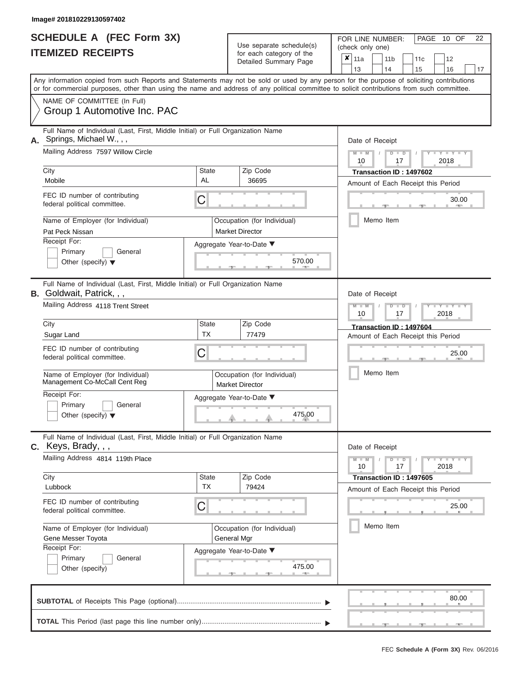|    | <b>SCHEDULE A (FEC Form 3X)</b>                                                                                                            |              |                                                      | PAGE 10 OF<br>22<br>FOR LINE NUMBER:                                                                                                      |  |  |  |  |  |  |  |  |  |
|----|--------------------------------------------------------------------------------------------------------------------------------------------|--------------|------------------------------------------------------|-------------------------------------------------------------------------------------------------------------------------------------------|--|--|--|--|--|--|--|--|--|
|    | <b>ITEMIZED RECEIPTS</b>                                                                                                                   |              | Use separate schedule(s)<br>for each category of the | (check only one)                                                                                                                          |  |  |  |  |  |  |  |  |  |
|    |                                                                                                                                            |              | Detailed Summary Page                                | ×<br>11a<br>11 <sub>b</sub><br>12<br>11c                                                                                                  |  |  |  |  |  |  |  |  |  |
|    |                                                                                                                                            |              |                                                      | 13<br>14<br>15<br>16<br>17                                                                                                                |  |  |  |  |  |  |  |  |  |
|    | or for commercial purposes, other than using the name and address of any political committee to solicit contributions from such committee. |              |                                                      | Any information copied from such Reports and Statements may not be sold or used by any person for the purpose of soliciting contributions |  |  |  |  |  |  |  |  |  |
|    | NAME OF COMMITTEE (In Full)                                                                                                                |              |                                                      |                                                                                                                                           |  |  |  |  |  |  |  |  |  |
|    | Group 1 Automotive Inc. PAC                                                                                                                |              |                                                      |                                                                                                                                           |  |  |  |  |  |  |  |  |  |
|    | Full Name of Individual (Last, First, Middle Initial) or Full Organization Name                                                            |              |                                                      |                                                                                                                                           |  |  |  |  |  |  |  |  |  |
|    | Springs, Michael W., , ,<br>Mailing Address 7597 Willow Circle                                                                             |              |                                                      | Date of Receipt                                                                                                                           |  |  |  |  |  |  |  |  |  |
|    |                                                                                                                                            |              |                                                      | $-1$ $-1$<br>$M - M$<br>D<br>$\blacksquare$<br>2018<br>10<br>17                                                                           |  |  |  |  |  |  |  |  |  |
|    | City                                                                                                                                       | <b>State</b> | Zip Code                                             | Transaction ID: 1497602                                                                                                                   |  |  |  |  |  |  |  |  |  |
|    | Mobile                                                                                                                                     | AL           | 36695                                                | Amount of Each Receipt this Period                                                                                                        |  |  |  |  |  |  |  |  |  |
|    | FEC ID number of contributing                                                                                                              | C            |                                                      | 30.00                                                                                                                                     |  |  |  |  |  |  |  |  |  |
|    | federal political committee.                                                                                                               |              |                                                      |                                                                                                                                           |  |  |  |  |  |  |  |  |  |
|    | Name of Employer (for Individual)                                                                                                          |              | Occupation (for Individual)                          | Memo Item                                                                                                                                 |  |  |  |  |  |  |  |  |  |
|    | Pat Peck Nissan                                                                                                                            |              | <b>Market Director</b>                               |                                                                                                                                           |  |  |  |  |  |  |  |  |  |
|    | Receipt For:                                                                                                                               |              | Aggregate Year-to-Date ▼                             |                                                                                                                                           |  |  |  |  |  |  |  |  |  |
|    | General<br>Primary                                                                                                                         |              | 570.00                                               |                                                                                                                                           |  |  |  |  |  |  |  |  |  |
|    | Other (specify) $\blacktriangledown$                                                                                                       |              |                                                      |                                                                                                                                           |  |  |  |  |  |  |  |  |  |
|    | Full Name of Individual (Last, First, Middle Initial) or Full Organization Name                                                            |              |                                                      |                                                                                                                                           |  |  |  |  |  |  |  |  |  |
|    | <b>B.</b> Goldwait, Patrick, , ,                                                                                                           |              |                                                      | Date of Receipt                                                                                                                           |  |  |  |  |  |  |  |  |  |
|    | Mailing Address 4118 Trent Street                                                                                                          |              |                                                      | $M - M$<br>$\blacksquare$<br>ъ                                                                                                            |  |  |  |  |  |  |  |  |  |
|    | City                                                                                                                                       | <b>State</b> | Zip Code                                             | 10<br>17<br>2018                                                                                                                          |  |  |  |  |  |  |  |  |  |
|    | Sugar Land                                                                                                                                 | ТX           | 77479                                                | Transaction ID: 1497604<br>Amount of Each Receipt this Period                                                                             |  |  |  |  |  |  |  |  |  |
|    | FEC ID number of contributing                                                                                                              |              |                                                      |                                                                                                                                           |  |  |  |  |  |  |  |  |  |
|    | federal political committee.                                                                                                               | C            |                                                      | 25.00                                                                                                                                     |  |  |  |  |  |  |  |  |  |
|    | Name of Employer (for Individual)                                                                                                          |              | Occupation (for Individual)                          | Memo Item                                                                                                                                 |  |  |  |  |  |  |  |  |  |
|    | Management Co-McCall Cent Reg                                                                                                              |              | <b>Market Director</b>                               |                                                                                                                                           |  |  |  |  |  |  |  |  |  |
|    | Receipt For:                                                                                                                               |              | Aggregate Year-to-Date ▼                             |                                                                                                                                           |  |  |  |  |  |  |  |  |  |
|    | Primary<br>General                                                                                                                         |              |                                                      |                                                                                                                                           |  |  |  |  |  |  |  |  |  |
|    | Other (specify) $\blacktriangledown$                                                                                                       |              | 475.00                                               |                                                                                                                                           |  |  |  |  |  |  |  |  |  |
|    | Full Name of Individual (Last, First, Middle Initial) or Full Organization Name                                                            |              |                                                      |                                                                                                                                           |  |  |  |  |  |  |  |  |  |
| C. | Keys, Brady, , ,                                                                                                                           |              |                                                      | Date of Receipt                                                                                                                           |  |  |  |  |  |  |  |  |  |
|    | Mailing Address 4814 119th Place                                                                                                           |              |                                                      | $Y - Y - Y - Y - Y$<br>$M - M$<br>$D$ $D$<br>2018<br>17<br>10                                                                             |  |  |  |  |  |  |  |  |  |
|    | City                                                                                                                                       | <b>State</b> | Zip Code                                             | Transaction ID: 1497605                                                                                                                   |  |  |  |  |  |  |  |  |  |
|    | Lubbock                                                                                                                                    | TX           | 79424                                                | Amount of Each Receipt this Period                                                                                                        |  |  |  |  |  |  |  |  |  |
|    | FEC ID number of contributing                                                                                                              | C            |                                                      | 25.00                                                                                                                                     |  |  |  |  |  |  |  |  |  |
|    | federal political committee.                                                                                                               |              |                                                      |                                                                                                                                           |  |  |  |  |  |  |  |  |  |
|    | Name of Employer (for Individual)                                                                                                          |              | Occupation (for Individual)                          | Memo Item                                                                                                                                 |  |  |  |  |  |  |  |  |  |
|    | Gene Messer Toyota                                                                                                                         |              | General Mgr                                          |                                                                                                                                           |  |  |  |  |  |  |  |  |  |
|    | Receipt For:<br>Primary                                                                                                                    |              | Aggregate Year-to-Date ▼                             |                                                                                                                                           |  |  |  |  |  |  |  |  |  |
|    | General<br>Other (specify)                                                                                                                 |              | 475.00                                               |                                                                                                                                           |  |  |  |  |  |  |  |  |  |
|    |                                                                                                                                            |              |                                                      |                                                                                                                                           |  |  |  |  |  |  |  |  |  |
|    |                                                                                                                                            |              |                                                      |                                                                                                                                           |  |  |  |  |  |  |  |  |  |

 ▲ ▲ ▲ , , . , 80. **SUBTOTAL** of Receipts This Page (optional)............................................................................ **TOTAL** This Period (last page this line number only)............................................................... ▼ ▼ 80.00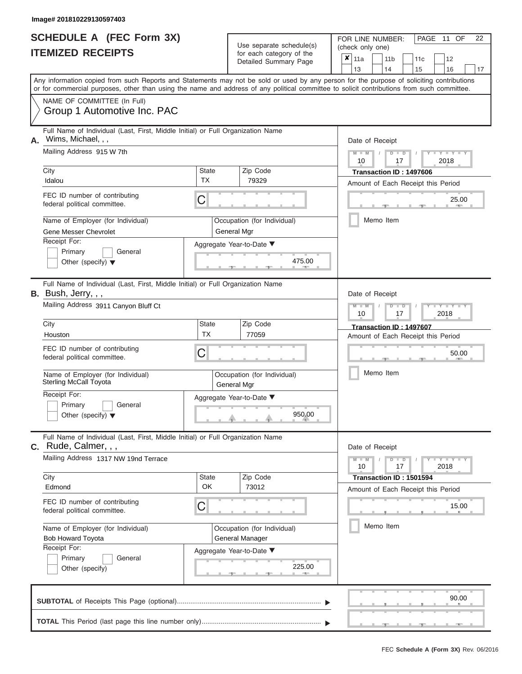|                          | <b>SCHEDULE A (FEC Form 3X)</b> |
|--------------------------|---------------------------------|
| <b>ITEMIZED RECEIPTS</b> |                                 |

FOR LINE NUMBER:<br>(check only one) Use separate schedule(s)<br>for each category of the<br>Detailed Summary Dage

|                                                                                                                                                                                                                   |                                                                                                                                                                                                                                                                                         |                    |  | $\frac{1}{2}$<br>Detailed Summary Page     |                                             |           | 11a           |                                                               | 11 <sub>b</sub> |                      | 11 <sub>c</sub>         | 12                  |  |  |    |  |  |  |  |  |
|-------------------------------------------------------------------------------------------------------------------------------------------------------------------------------------------------------------------|-----------------------------------------------------------------------------------------------------------------------------------------------------------------------------------------------------------------------------------------------------------------------------------------|--------------------|--|--------------------------------------------|---------------------------------------------|-----------|---------------|---------------------------------------------------------------|-----------------|----------------------|-------------------------|---------------------|--|--|----|--|--|--|--|--|
|                                                                                                                                                                                                                   | Any information copied from such Reports and Statements may not be sold or used by any person for the purpose of soliciting contributions<br>or for commercial purposes, other than using the name and address of any political committee to solicit contributions from such committee. |                    |  |                                            |                                             | 13        |               |                                                               | 14              |                      | 15                      | 16                  |  |  | 17 |  |  |  |  |  |
|                                                                                                                                                                                                                   | NAME OF COMMITTEE (In Full)<br>Group 1 Automotive Inc. PAC                                                                                                                                                                                                                              |                    |  |                                            |                                             |           |               |                                                               |                 |                      |                         |                     |  |  |    |  |  |  |  |  |
| А.                                                                                                                                                                                                                | Full Name of Individual (Last, First, Middle Initial) or Full Organization Name<br>Wims, Michael, , ,<br>Mailing Address 915 W 7th                                                                                                                                                      |                    |  |                                            |                                             |           |               | Date of Receipt<br>$M - M$<br>D<br>$\Box$<br>2018<br>10<br>17 |                 |                      |                         |                     |  |  |    |  |  |  |  |  |
|                                                                                                                                                                                                                   | City                                                                                                                                                                                                                                                                                    | <b>State</b>       |  | Zip Code                                   |                                             |           |               |                                                               |                 |                      | Transaction ID: 1497606 |                     |  |  |    |  |  |  |  |  |
|                                                                                                                                                                                                                   | Idalou<br>FEC ID number of contributing<br>federal political committee.                                                                                                                                                                                                                 | <b>TX</b><br>С     |  | 79329                                      | Amount of Each Receipt this Period<br>25.00 |           |               |                                                               |                 |                      |                         |                     |  |  |    |  |  |  |  |  |
|                                                                                                                                                                                                                   | Name of Employer (for Individual)<br>Occupation (for Individual)<br><b>Gene Messer Chevrolet</b><br>General Mgr                                                                                                                                                                         |                    |  |                                            |                                             |           |               |                                                               | Memo Item       |                      |                         |                     |  |  |    |  |  |  |  |  |
|                                                                                                                                                                                                                   | Receipt For:<br>Aggregate Year-to-Date ▼<br>Primary<br>General<br>475.00<br>Other (specify) $\blacktriangledown$                                                                                                                                                                        |                    |  |                                            |                                             |           |               |                                                               |                 |                      |                         |                     |  |  |    |  |  |  |  |  |
|                                                                                                                                                                                                                   | Full Name of Individual (Last, First, Middle Initial) or Full Organization Name<br>B. Bush, Jerry, , ,<br>Date of Receipt                                                                                                                                                               |                    |  |                                            |                                             |           |               |                                                               |                 |                      |                         |                     |  |  |    |  |  |  |  |  |
|                                                                                                                                                                                                                   | Mailing Address 3911 Canyon Bluff Ct<br>$\blacksquare$<br>2018<br>10<br>17                                                                                                                                                                                                              |                    |  |                                            |                                             |           |               |                                                               |                 |                      |                         |                     |  |  |    |  |  |  |  |  |
| City<br><b>State</b><br>Zip Code<br>Transaction ID: 1497607<br><b>TX</b><br>77059<br>Houston<br>Amount of Each Receipt this Period<br>FEC ID number of contributing<br>С<br>50.00<br>federal political committee. |                                                                                                                                                                                                                                                                                         |                    |  |                                            |                                             |           |               |                                                               |                 |                      |                         |                     |  |  |    |  |  |  |  |  |
|                                                                                                                                                                                                                   |                                                                                                                                                                                                                                                                                         |                    |  |                                            |                                             |           |               |                                                               |                 |                      |                         |                     |  |  |    |  |  |  |  |  |
|                                                                                                                                                                                                                   | Name of Employer (for Individual)<br><b>Sterling McCall Toyota</b>                                                                                                                                                                                                                      |                    |  | Occupation (for Individual)<br>General Mgr |                                             | Memo Item |               |                                                               |                 |                      |                         |                     |  |  |    |  |  |  |  |  |
|                                                                                                                                                                                                                   | Receipt For:<br>Primary<br>General<br>Other (specify) $\blacktriangledown$                                                                                                                                                                                                              |                    |  | Aggregate Year-to-Date ▼<br>950.00         |                                             |           |               |                                                               |                 |                      |                         |                     |  |  |    |  |  |  |  |  |
|                                                                                                                                                                                                                   | Full Name of Individual (Last, First, Middle Initial) or Full Organization Name<br>C. Rude, Calmer, , ,                                                                                                                                                                                 |                    |  |                                            |                                             |           |               |                                                               | Date of Receipt |                      |                         |                     |  |  |    |  |  |  |  |  |
|                                                                                                                                                                                                                   | Mailing Address 1317 NW 19nd Terrace                                                                                                                                                                                                                                                    |                    |  |                                            |                                             |           | $M - M$<br>10 |                                                               |                 | $\blacksquare$<br>17 |                         | $Y - Y - Y$<br>2018 |  |  |    |  |  |  |  |  |
|                                                                                                                                                                                                                   | City<br>Edmond                                                                                                                                                                                                                                                                          | <b>State</b><br>OK |  | Zip Code<br>73012                          |                                             |           |               |                                                               |                 |                      | Transaction ID: 1501594 |                     |  |  |    |  |  |  |  |  |
|                                                                                                                                                                                                                   | Amount of Each Receipt this Period<br>FEC ID number of contributing<br>С<br>15.00<br>federal political committee.                                                                                                                                                                       |                    |  |                                            |                                             |           |               |                                                               |                 |                      |                         |                     |  |  |    |  |  |  |  |  |
|                                                                                                                                                                                                                   | Memo Item<br>Name of Employer (for Individual)<br>Occupation (for Individual)<br><b>General Manager</b><br><b>Bob Howard Toyota</b>                                                                                                                                                     |                    |  |                                            |                                             |           |               |                                                               |                 |                      |                         |                     |  |  |    |  |  |  |  |  |
|                                                                                                                                                                                                                   | Receipt For:<br>Aggregate Year-to-Date ▼<br>Primary<br>General<br>225.00<br>Other (specify)                                                                                                                                                                                             |                    |  |                                            |                                             |           |               |                                                               |                 |                      |                         |                     |  |  |    |  |  |  |  |  |
|                                                                                                                                                                                                                   | 90.00                                                                                                                                                                                                                                                                                   |                    |  |                                            |                                             |           |               |                                                               |                 |                      |                         |                     |  |  |    |  |  |  |  |  |
|                                                                                                                                                                                                                   |                                                                                                                                                                                                                                                                                         |                    |  |                                            |                                             |           |               |                                                               |                 |                      |                         |                     |  |  |    |  |  |  |  |  |

PAGE 11 OF 22

 $\frac{1}{2}$  ,  $\frac{1}{2}$  ,  $\frac{1}{2}$  ,  $\frac{1}{2}$  ,  $\frac{1}{2}$  ,  $\frac{1}{2}$  ,  $\frac{1}{2}$  ,  $\frac{1}{2}$  ,  $\frac{1}{2}$  ,  $\frac{1}{2}$  ,  $\frac{1}{2}$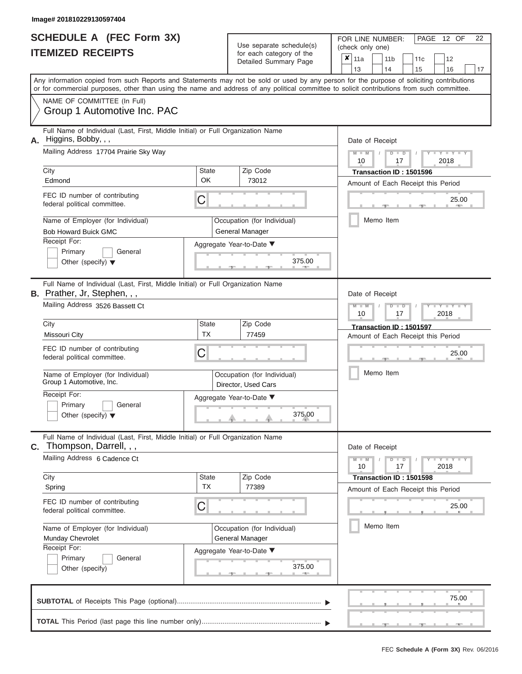| <b>SCHEDULE A (FEC Form 3X)</b> |  |  |
|---------------------------------|--|--|
| <b>ITEMIZED RECEIPTS</b>        |  |  |

FOR LINE NUMBER:<br>(check only one) Use separate schedule(s)<br>for each category of the

|                                                                                                                        |                                                                                                                                                                                                                                                                                         |                           | $0.0011$ $0.000901$ $y$ $0.010$<br>Detailed Summary Page |        |                                                           | ×<br>11a<br>13  |                         | 11 <sub>b</sub><br>14              |                                                                  | 11 <sub>c</sub>         | 12<br>16         |    |  |  |  |  |  |  |  |
|------------------------------------------------------------------------------------------------------------------------|-----------------------------------------------------------------------------------------------------------------------------------------------------------------------------------------------------------------------------------------------------------------------------------------|---------------------------|----------------------------------------------------------|--------|-----------------------------------------------------------|-----------------|-------------------------|------------------------------------|------------------------------------------------------------------|-------------------------|------------------|----|--|--|--|--|--|--|--|
|                                                                                                                        | Any information copied from such Reports and Statements may not be sold or used by any person for the purpose of soliciting contributions<br>or for commercial purposes, other than using the name and address of any political committee to solicit contributions from such committee. |                           |                                                          |        |                                                           |                 |                         |                                    |                                                                  | 15                      |                  | 17 |  |  |  |  |  |  |  |
|                                                                                                                        | NAME OF COMMITTEE (In Full)<br>Group 1 Automotive Inc. PAC                                                                                                                                                                                                                              |                           |                                                          |        |                                                           |                 |                         |                                    |                                                                  |                         |                  |    |  |  |  |  |  |  |  |
| А.                                                                                                                     | Full Name of Individual (Last, First, Middle Initial) or Full Organization Name<br>Higgins, Bobby, , ,<br>Mailing Address 17704 Prairie Sky Way                                                                                                                                         |                           |                                                          |        | Date of Receipt<br>$M - M$<br>$D$ $D$<br>2018<br>10<br>17 |                 |                         |                                    |                                                                  |                         |                  |    |  |  |  |  |  |  |  |
|                                                                                                                        | City<br><b>State</b><br>Zip Code                                                                                                                                                                                                                                                        |                           |                                                          |        |                                                           |                 |                         |                                    |                                                                  | Transaction ID: 1501596 |                  |    |  |  |  |  |  |  |  |
|                                                                                                                        | Edmond                                                                                                                                                                                                                                                                                  | OK                        | 73012                                                    |        |                                                           |                 |                         |                                    |                                                                  |                         |                  |    |  |  |  |  |  |  |  |
|                                                                                                                        | FEC ID number of contributing<br>federal political committee.                                                                                                                                                                                                                           | C                         |                                                          |        | Amount of Each Receipt this Period<br>25.00               |                 |                         |                                    |                                                                  |                         |                  |    |  |  |  |  |  |  |  |
|                                                                                                                        | Name of Employer (for Individual)<br><b>Bob Howard Buick GMC</b>                                                                                                                                                                                                                        |                           | Occupation (for Individual)<br>General Manager           |        |                                                           | Memo Item       |                         |                                    |                                                                  |                         |                  |    |  |  |  |  |  |  |  |
|                                                                                                                        | Receipt For:<br>Aggregate Year-to-Date ▼<br>Primary<br>General<br>375.00<br>Other (specify) $\blacktriangledown$<br>$-1$                                                                                                                                                                |                           |                                                          |        |                                                           |                 |                         |                                    |                                                                  |                         |                  |    |  |  |  |  |  |  |  |
| Full Name of Individual (Last, First, Middle Initial) or Full Organization Name<br><b>B.</b> Prather, Jr, Stephen, , , |                                                                                                                                                                                                                                                                                         |                           |                                                          |        |                                                           |                 |                         | Date of Receipt                    |                                                                  |                         |                  |    |  |  |  |  |  |  |  |
|                                                                                                                        | Mailing Address 3526 Bassett Ct<br><b>State</b><br>Zip Code                                                                                                                                                                                                                             |                           |                                                          |        |                                                           |                 |                         |                                    | $M - M$<br>$\overline{\mathsf{D}}$<br>$\Box$<br>2018<br>10<br>17 |                         |                  |    |  |  |  |  |  |  |  |
|                                                                                                                        | City<br>Missouri City                                                                                                                                                                                                                                                                   |                           |                                                          |        |                                                           |                 | Transaction ID: 1501597 | Amount of Each Receipt this Period |                                                                  |                         |                  |    |  |  |  |  |  |  |  |
|                                                                                                                        | <b>TX</b><br>77459<br>FEC ID number of contributing<br>С<br>federal political committee.                                                                                                                                                                                                |                           |                                                          |        |                                                           |                 |                         |                                    |                                                                  |                         | 25.00            |    |  |  |  |  |  |  |  |
|                                                                                                                        | Name of Employer (for Individual)<br>Group 1 Automotive, Inc.                                                                                                                                                                                                                           |                           | Occupation (for Individual)<br>Director, Used Cars       |        |                                                           | Memo Item       |                         |                                    |                                                                  |                         |                  |    |  |  |  |  |  |  |  |
|                                                                                                                        | Receipt For:<br>Primary<br>General<br>Other (specify) $\blacktriangledown$                                                                                                                                                                                                              |                           | Aggregate Year-to-Date ▼                                 | 375.00 |                                                           |                 |                         |                                    |                                                                  |                         |                  |    |  |  |  |  |  |  |  |
| C.                                                                                                                     | Full Name of Individual (Last, First, Middle Initial) or Full Organization Name<br>Thompson, Darrell, , ,                                                                                                                                                                               |                           |                                                          |        |                                                           | Date of Receipt |                         |                                    |                                                                  |                         |                  |    |  |  |  |  |  |  |  |
|                                                                                                                        | Mailing Address 6 Cadence Ct                                                                                                                                                                                                                                                            |                           |                                                          |        |                                                           | $M - M$<br>10   |                         |                                    | $D$ $D$<br>17                                                    |                         | $+Y+Y+Y$<br>2018 |    |  |  |  |  |  |  |  |
|                                                                                                                        | City<br>Spring                                                                                                                                                                                                                                                                          | <b>State</b><br><b>TX</b> | Zip Code<br>77389                                        |        |                                                           |                 |                         |                                    |                                                                  | Transaction ID: 1501598 |                  |    |  |  |  |  |  |  |  |
|                                                                                                                        | Amount of Each Receipt this Period<br>FEC ID number of contributing<br>С<br>25.00<br>federal political committee.                                                                                                                                                                       |                           |                                                          |        |                                                           |                 |                         |                                    |                                                                  |                         |                  |    |  |  |  |  |  |  |  |
|                                                                                                                        | Memo Item<br>Name of Employer (for Individual)<br>Occupation (for Individual)<br>Munday Chevrolet<br><b>General Manager</b><br>Receipt For:                                                                                                                                             |                           |                                                          |        |                                                           |                 |                         |                                    |                                                                  |                         |                  |    |  |  |  |  |  |  |  |
|                                                                                                                        | Primary<br>General<br>Other (specify)                                                                                                                                                                                                                                                   |                           | Aggregate Year-to-Date ▼                                 | 375.00 |                                                           |                 |                         |                                    |                                                                  |                         |                  |    |  |  |  |  |  |  |  |
|                                                                                                                        |                                                                                                                                                                                                                                                                                         |                           |                                                          |        |                                                           |                 |                         |                                    |                                                                  |                         | 75.00            |    |  |  |  |  |  |  |  |
|                                                                                                                        |                                                                                                                                                                                                                                                                                         |                           |                                                          |        |                                                           |                 |                         |                                    |                                                                  |                         |                  |    |  |  |  |  |  |  |  |

PAGE 12 OF 22

 $\frac{1}{2}$  ,  $\frac{1}{2}$  ,  $\frac{1}{2}$  ,  $\frac{1}{2}$  ,  $\frac{1}{2}$  ,  $\frac{1}{2}$  ,  $\frac{1}{2}$  ,  $\frac{1}{2}$  ,  $\frac{1}{2}$  ,  $\frac{1}{2}$  ,  $\frac{1}{2}$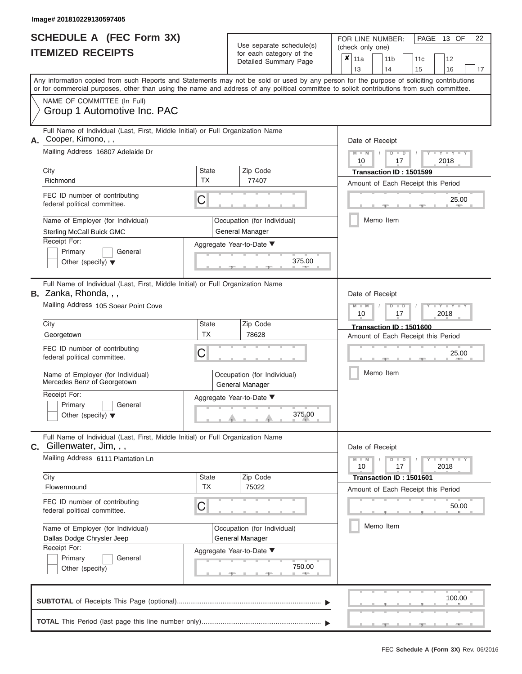|                          | SCHEDULE A (FEC Form 3X) |
|--------------------------|--------------------------|
| <b>ITEMIZED RECEIPTS</b> |                          |

FOR LINE NUMBER:<br>(check only one) Use separate schedule(s)<br>for each category of the

|                                                                                                                                                  |                                                                                                                                                                                                          |                           |                                                | $0.0011$ $0.000901$ $y$ $0.010$<br>Detailed Summary Page | ×                                                         | 11a             |         | 11 <sub>b</sub><br>14                                | 11 <sub>c</sub>                                               | 12                  |       |  |  |  |  |  |
|--------------------------------------------------------------------------------------------------------------------------------------------------|----------------------------------------------------------------------------------------------------------------------------------------------------------------------------------------------------------|---------------------------|------------------------------------------------|----------------------------------------------------------|-----------------------------------------------------------|-----------------|---------|------------------------------------------------------|---------------------------------------------------------------|---------------------|-------|--|--|--|--|--|
|                                                                                                                                                  | Any information copied from such Reports and Statements may not be sold or used by any person for the purpose of soliciting contributions                                                                |                           |                                                |                                                          |                                                           | 13              |         |                                                      | 15                                                            | 16                  | 17    |  |  |  |  |  |
|                                                                                                                                                  | or for commercial purposes, other than using the name and address of any political committee to solicit contributions from such committee.<br>NAME OF COMMITTEE (In Full)<br>Group 1 Automotive Inc. PAC |                           |                                                |                                                          |                                                           |                 |         |                                                      |                                                               |                     |       |  |  |  |  |  |
| А.                                                                                                                                               | Full Name of Individual (Last, First, Middle Initial) or Full Organization Name<br>Cooper, Kimono, , ,<br>Mailing Address 16807 Adelaide Dr                                                              |                           |                                                |                                                          | Date of Receipt<br>$M - M$<br>$D$ $D$<br>2018<br>10<br>17 |                 |         |                                                      |                                                               |                     |       |  |  |  |  |  |
|                                                                                                                                                  | City                                                                                                                                                                                                     | <b>State</b>              | Zip Code                                       |                                                          |                                                           |                 |         |                                                      | Transaction ID: 1501599                                       |                     |       |  |  |  |  |  |
|                                                                                                                                                  | Richmond                                                                                                                                                                                                 | <b>TX</b>                 | 77407                                          |                                                          | Amount of Each Receipt this Period                        |                 |         |                                                      |                                                               |                     |       |  |  |  |  |  |
|                                                                                                                                                  | FEC ID number of contributing<br>federal political committee.                                                                                                                                            | C                         |                                                |                                                          | 25.00                                                     |                 |         |                                                      |                                                               |                     |       |  |  |  |  |  |
|                                                                                                                                                  | Name of Employer (for Individual)<br><b>Sterling McCall Buick GMC</b>                                                                                                                                    |                           | Occupation (for Individual)<br>General Manager |                                                          |                                                           |                 |         | Memo Item                                            |                                                               |                     |       |  |  |  |  |  |
| Receipt For:<br>Aggregate Year-to-Date ▼<br>Primary<br>General<br>375.00<br>Other (specify) $\blacktriangledown$<br>$-1$                         |                                                                                                                                                                                                          |                           |                                                |                                                          |                                                           |                 |         |                                                      |                                                               |                     |       |  |  |  |  |  |
| Full Name of Individual (Last, First, Middle Initial) or Full Organization Name<br>B. Zanka, Rhonda, , ,<br>Mailing Address 105 Soear Point Cove |                                                                                                                                                                                                          |                           |                                                |                                                          |                                                           |                 | $M - M$ | Date of Receipt<br>$\overline{\mathsf{D}}$<br>$\Box$ |                                                               |                     |       |  |  |  |  |  |
| 10<br>17<br>City<br><b>State</b><br>Zip Code                                                                                                     |                                                                                                                                                                                                          |                           |                                                |                                                          |                                                           |                 |         |                                                      | 2018                                                          |                     |       |  |  |  |  |  |
|                                                                                                                                                  | Transaction ID: 1501600<br><b>TX</b><br>78628<br>Georgetown<br>Amount of Each Receipt this Period                                                                                                        |                           |                                                |                                                          |                                                           |                 |         |                                                      |                                                               |                     |       |  |  |  |  |  |
| FEC ID number of contributing<br>С<br>federal political committee.                                                                               |                                                                                                                                                                                                          |                           |                                                |                                                          |                                                           |                 |         |                                                      |                                                               | 25.00               |       |  |  |  |  |  |
|                                                                                                                                                  | Name of Employer (for Individual)<br>Mercedes Benz of Georgetown                                                                                                                                         |                           | Occupation (for Individual)<br>General Manager |                                                          | Memo Item                                                 |                 |         |                                                      |                                                               |                     |       |  |  |  |  |  |
|                                                                                                                                                  | Receipt For:<br>Primary<br>General<br>Other (specify) $\blacktriangledown$                                                                                                                               |                           | Aggregate Year-to-Date ▼                       | 375.00                                                   |                                                           |                 |         |                                                      |                                                               |                     |       |  |  |  |  |  |
|                                                                                                                                                  | Full Name of Individual (Last, First, Middle Initial) or Full Organization Name<br>C. Gillenwater, Jim, , ,                                                                                              |                           |                                                |                                                          |                                                           | Date of Receipt |         |                                                      |                                                               |                     |       |  |  |  |  |  |
|                                                                                                                                                  | Mailing Address 6111 Plantation Ln                                                                                                                                                                       |                           |                                                |                                                          |                                                           | $M - M$<br>10   |         | $D$ $D$<br>17                                        |                                                               | $Y + Y + Y$<br>2018 |       |  |  |  |  |  |
|                                                                                                                                                  | City<br>Flowermound                                                                                                                                                                                      | <b>State</b><br><b>TX</b> | Zip Code<br>75022                              |                                                          |                                                           |                 |         |                                                      | Transaction ID: 1501601<br>Amount of Each Receipt this Period |                     |       |  |  |  |  |  |
|                                                                                                                                                  | FEC ID number of contributing<br>federal political committee.                                                                                                                                            | С                         |                                                |                                                          |                                                           |                 |         |                                                      |                                                               |                     | 50.00 |  |  |  |  |  |
| Memo Item<br>Name of Employer (for Individual)<br>Occupation (for Individual)<br>Dallas Dodge Chrysler Jeep<br><b>General Manager</b>            |                                                                                                                                                                                                          |                           |                                                |                                                          |                                                           |                 |         |                                                      |                                                               |                     |       |  |  |  |  |  |
|                                                                                                                                                  | Receipt For:<br>Primary<br>General<br>Other (specify)                                                                                                                                                    |                           | Aggregate Year-to-Date ▼                       | 750.00                                                   |                                                           |                 |         |                                                      |                                                               |                     |       |  |  |  |  |  |
|                                                                                                                                                  |                                                                                                                                                                                                          |                           |                                                |                                                          |                                                           |                 |         |                                                      |                                                               | 100.00              |       |  |  |  |  |  |

PAGE 13 OF 22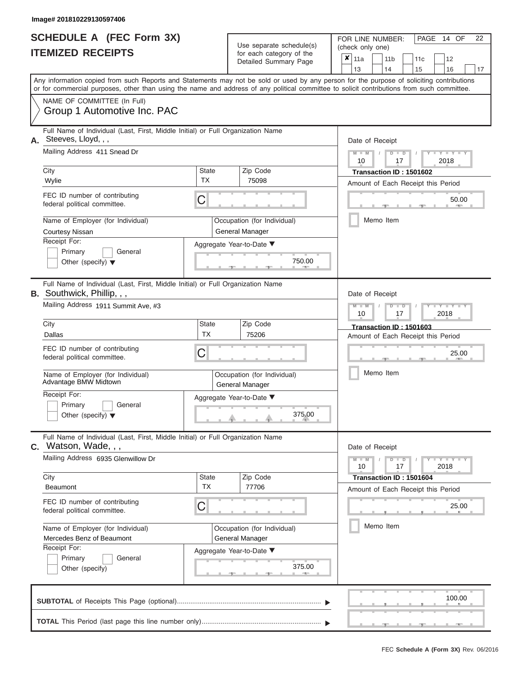| <b>SCHEDULE A (FEC Form 3X)</b><br><b>ITEMIZED RECEIPTS</b><br>NAME OF COMMITTEE (In Full)<br>Group 1 Automotive Inc. PAC                                                                                                                                                                    |                                                                                                                                                                                                                                                                                                                                                                                          |                                                     | Use separate schedule(s)<br>for each category of the<br>Detailed Summary Page        | PAGE 14 OF<br>22<br>FOR LINE NUMBER:<br>(check only one)<br>$\overline{\mathbf{x}}$   11a<br>11 <sub>b</sub><br>12<br>11c<br>13<br>14<br>15<br>16<br>17<br>Any information copied from such Reports and Statements may not be sold or used by any person for the purpose of soliciting contributions<br>or for commercial purposes, other than using the name and address of any political committee to solicit contributions from such committee. |
|----------------------------------------------------------------------------------------------------------------------------------------------------------------------------------------------------------------------------------------------------------------------------------------------|------------------------------------------------------------------------------------------------------------------------------------------------------------------------------------------------------------------------------------------------------------------------------------------------------------------------------------------------------------------------------------------|-----------------------------------------------------|--------------------------------------------------------------------------------------|----------------------------------------------------------------------------------------------------------------------------------------------------------------------------------------------------------------------------------------------------------------------------------------------------------------------------------------------------------------------------------------------------------------------------------------------------|
| Steeves, Lloyd, , ,<br>City<br>Wylie<br><b>Courtesy Nissan</b><br>Receipt For:<br>Primary                                                                                                                                                                                                    | Full Name of Individual (Last, First, Middle Initial) or Full Organization Name<br>Mailing Address 411 Snead Dr<br><b>State</b><br><b>TX</b><br>FEC ID number of contributing<br>C<br>federal political committee.<br>Name of Employer (for Individual)<br>Occupation (for Individual)<br>General Manager<br>Aggregate Year-to-Date ▼<br>General<br>Other (specify) $\blacktriangledown$ |                                                     |                                                                                      | Date of Receipt<br>$M - M$<br>Y LTY LT<br>$D$ $D$<br>$\overline{1}$<br>2018<br>10<br>17<br>Transaction ID: 1501602<br>Amount of Each Receipt this Period<br>50.00<br><b>AND</b><br>Memo Item                                                                                                                                                                                                                                                       |
| <b>B.</b> Southwick, Phillip, , ,<br>Mailing Address 1911 Summit Ave, #3<br>City<br>Dallas<br>FEC ID number of contributing<br>federal political committee.<br>Name of Employer (for Individual)<br>Advantage BMW Midtown<br>Receipt For:<br>Primary<br>Other (specify) $\blacktriangledown$ | Full Name of Individual (Last, First, Middle Initial) or Full Organization Name<br>General                                                                                                                                                                                                                                                                                               | State<br><b>TX</b><br>С<br>Aggregate Year-to-Date ▼ | Zip Code<br>75206<br>Occupation (for Individual)<br>General Manager<br>375.00        | Date of Receipt<br>$M - M$<br>$D$ $\Box$ $D$<br>$Y - Y$<br>T<br>2018<br>10<br>17<br>Transaction ID: 1501603<br>Amount of Each Receipt this Period<br>25.00<br>Memo Item                                                                                                                                                                                                                                                                            |
| $C.$ Watson, Wade, , ,<br>Mailing Address 6935 Glenwillow Dr<br>City<br>Beaumont<br>FEC ID number of contributing<br>federal political committee.<br>Name of Employer (for Individual)<br>Mercedes Benz of Beaumont<br>Receipt For:<br>Primary<br>Other (specify)                            | Full Name of Individual (Last, First, Middle Initial) or Full Organization Name<br>General                                                                                                                                                                                                                                                                                               | State<br><b>TX</b><br>C<br>Aggregate Year-to-Date ▼ | Zip Code<br>77706<br>Occupation (for Individual)<br>General Manager<br>375.00<br>-91 | Date of Receipt<br>$M - M$<br>$D$ $D$<br>$Y - Y - Y$<br>17<br>2018<br>10<br>Transaction ID: 1501604<br>Amount of Each Receipt this Period<br>25.00<br>Memo Item                                                                                                                                                                                                                                                                                    |

|  |  |  |  |                                          | 100.00 |  |
|--|--|--|--|------------------------------------------|--------|--|
|  |  |  |  | The contract of the contract of the con- |        |  |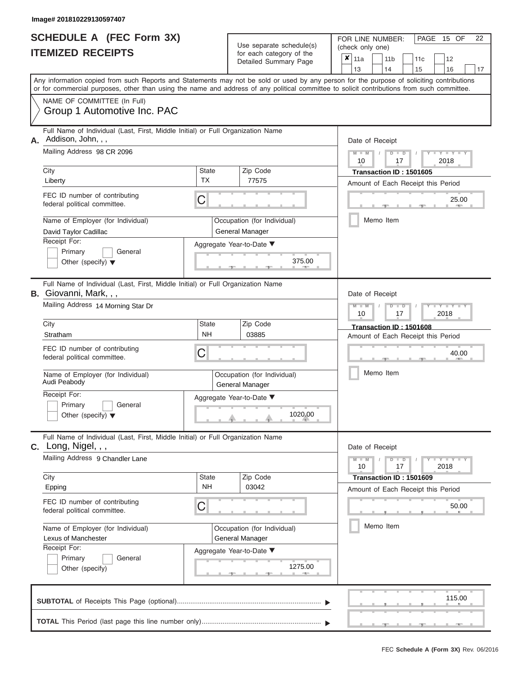|                          | <b>SCHEDULE A (FEC Form 3X)</b> |
|--------------------------|---------------------------------|
| <b>ITEMIZED RECEIPTS</b> |                                 |

FOR LINE NUMBER:<br>(check only one) Use separate schedule(s) (check only one) for each category of the  $\sqrt{2}$ 

|    | IIEMIZED RECEIPIS                                                                                                                                                                                                                                                                                                                                   |                                | for each category of the<br>Detailed Summary Page                                                                        | ×<br>11a<br>11 <sub>b</sub><br>12<br>11c<br>13<br>14<br>15<br>16<br>17                                                                                          |
|----|-----------------------------------------------------------------------------------------------------------------------------------------------------------------------------------------------------------------------------------------------------------------------------------------------------------------------------------------------------|--------------------------------|--------------------------------------------------------------------------------------------------------------------------|-----------------------------------------------------------------------------------------------------------------------------------------------------------------|
|    | Any information copied from such Reports and Statements may not be sold or used by any person for the purpose of soliciting contributions<br>or for commercial purposes, other than using the name and address of any political committee to solicit contributions from such committee.                                                             |                                |                                                                                                                          |                                                                                                                                                                 |
|    | NAME OF COMMITTEE (In Full)<br>Group 1 Automotive Inc. PAC                                                                                                                                                                                                                                                                                          |                                |                                                                                                                          |                                                                                                                                                                 |
| А. | Full Name of Individual (Last, First, Middle Initial) or Full Organization Name<br>Addison, John, , ,<br>Mailing Address 98 CR 2096<br>City<br>Liberty<br>FEC ID number of contributing<br>federal political committee.<br>Name of Employer (for Individual)<br>David Taylor Cadillac<br>Receipt For:<br>Primary<br>General                         | <b>State</b><br><b>TX</b><br>C | Zip Code<br>77575<br>Occupation (for Individual)<br>General Manager<br>Aggregate Year-to-Date ▼<br>375.00                | Date of Receipt<br>$Y = Y$<br>D<br>$\overline{D}$<br>2018<br>17<br>10<br>Transaction ID: 1501605<br>Amount of Each Receipt this Period<br>25.00<br>Memo Item    |
|    | Other (specify) $\blacktriangledown$<br>Full Name of Individual (Last, First, Middle Initial) or Full Organization Name<br><b>B.</b> Giovanni, Mark, , ,<br>Mailing Address 14 Morning Star Dr<br>City                                                                                                                                              | <b>State</b>                   | Zip Code                                                                                                                 | Date of Receipt<br>Y I Y<br>D<br>2018<br>10<br>17                                                                                                               |
|    | Stratham<br>FEC ID number of contributing<br>federal political committee.<br>Name of Employer (for Individual)<br>Audi Peabody<br>Receipt For:<br>Primary<br>General<br>Other (specify) $\blacktriangledown$                                                                                                                                        | NΗ<br>C                        | 03885<br>Occupation (for Individual)<br>General Manager<br>Aggregate Year-to-Date ▼<br>1020.00                           | Transaction ID: 1501608<br>Amount of Each Receipt this Period<br>40.00<br>Memo Item                                                                             |
|    | Full Name of Individual (Last, First, Middle Initial) or Full Organization Name<br>$c.$ Long, Nigel, , ,<br>Mailing Address 9 Chandler Lane<br>City<br>Epping<br>FEC ID number of contributing<br>federal political committee.<br>Name of Employer (for Individual)<br>Lexus of Manchester<br>Receipt For:<br>General<br>Primary<br>Other (specify) | <b>State</b><br><b>NH</b><br>C | Zip Code<br>03042<br>Occupation (for Individual)<br>General Manager<br>Aggregate Year-to-Date ▼<br>1275.00<br><b>AND</b> | Date of Receipt<br>$Y = Y + Y$<br>$M - M$<br>$D$ $D$<br>10<br>17<br>2018<br>Transaction ID: 1501609<br>Amount of Each Receipt this Period<br>50.00<br>Memo Item |
|    |                                                                                                                                                                                                                                                                                                                                                     |                                |                                                                                                                          | 115.00                                                                                                                                                          |
|    |                                                                                                                                                                                                                                                                                                                                                     |                                |                                                                                                                          |                                                                                                                                                                 |

PAGE 15 OF 22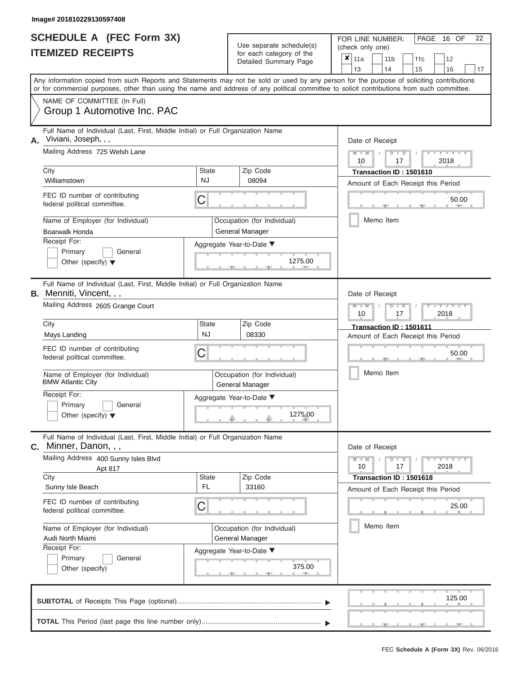Other (specify)

| iiiiay <del>c#</del> zu io iuzza i <i>a</i> uaa <i>i</i> 400                                                                                                                                                                                                                                                           |              |                                                   |                                                               |                                                                                   |                                                             |                   |    |  |  |  |  |
|------------------------------------------------------------------------------------------------------------------------------------------------------------------------------------------------------------------------------------------------------------------------------------------------------------------------|--------------|---------------------------------------------------|---------------------------------------------------------------|-----------------------------------------------------------------------------------|-------------------------------------------------------------|-------------------|----|--|--|--|--|
| SCHEDULE A (FEC Form 3X)<br><b>ITEMIZED RECEIPTS</b>                                                                                                                                                                                                                                                                   |              | Use separate schedule(s)                          |                                                               |                                                                                   | 16 OF<br>22<br>PAGE<br>FOR LINE NUMBER:<br>(check only one) |                   |    |  |  |  |  |
|                                                                                                                                                                                                                                                                                                                        |              | for each category of the<br>Detailed Summary Page | ×<br>11a                                                      | 11 <sub>b</sub>                                                                   | 11c                                                         | 12                |    |  |  |  |  |
|                                                                                                                                                                                                                                                                                                                        |              |                                                   | 13                                                            | 14                                                                                | 15                                                          | 16                | 17 |  |  |  |  |
| Any information copied from such Reports and Statements may not be sold or used by any person for the purpose of soliciting contributions<br>or for commercial purposes, other than using the name and address of any political committee to solicit contributions from such committee.<br>NAME OF COMMITTEE (In Full) |              |                                                   |                                                               |                                                                                   |                                                             |                   |    |  |  |  |  |
| Group 1 Automotive Inc. PAC                                                                                                                                                                                                                                                                                            |              |                                                   |                                                               |                                                                                   |                                                             |                   |    |  |  |  |  |
| Full Name of Individual (Last, First, Middle Initial) or Full Organization Name                                                                                                                                                                                                                                        |              |                                                   |                                                               |                                                                                   |                                                             |                   |    |  |  |  |  |
| Viviani, Joseph, , ,<br>А.                                                                                                                                                                                                                                                                                             |              |                                                   |                                                               | Date of Receipt                                                                   |                                                             |                   |    |  |  |  |  |
| Mailing Address 725 Welsh Lane                                                                                                                                                                                                                                                                                         |              |                                                   |                                                               |                                                                                   | $D$ $D$                                                     | Y TYT             |    |  |  |  |  |
|                                                                                                                                                                                                                                                                                                                        |              |                                                   | 10                                                            |                                                                                   | 17                                                          | 2018              |    |  |  |  |  |
| City                                                                                                                                                                                                                                                                                                                   | <b>State</b> | Zip Code                                          |                                                               |                                                                                   | Transaction ID: 1501610                                     |                   |    |  |  |  |  |
| Williamstown                                                                                                                                                                                                                                                                                                           | NJ           | 08094                                             |                                                               |                                                                                   | Amount of Each Receipt this Period                          |                   |    |  |  |  |  |
| FEC ID number of contributing                                                                                                                                                                                                                                                                                          |              |                                                   |                                                               |                                                                                   |                                                             |                   |    |  |  |  |  |
| federal political committee.                                                                                                                                                                                                                                                                                           | С            |                                                   |                                                               |                                                                                   |                                                             | 50.00             |    |  |  |  |  |
| Name of Employer (for Individual)                                                                                                                                                                                                                                                                                      |              | Occupation (for Individual)                       |                                                               | Memo Item                                                                         |                                                             |                   |    |  |  |  |  |
| Boarwalk Honda                                                                                                                                                                                                                                                                                                         |              | General Manager                                   |                                                               |                                                                                   |                                                             |                   |    |  |  |  |  |
| Receipt For:                                                                                                                                                                                                                                                                                                           |              |                                                   |                                                               |                                                                                   |                                                             |                   |    |  |  |  |  |
| Primary<br>General                                                                                                                                                                                                                                                                                                     |              | Aggregate Year-to-Date ▼                          |                                                               |                                                                                   |                                                             |                   |    |  |  |  |  |
| Other (specify) $\blacktriangledown$                                                                                                                                                                                                                                                                                   |              | 1275.00                                           |                                                               |                                                                                   |                                                             |                   |    |  |  |  |  |
|                                                                                                                                                                                                                                                                                                                        |              |                                                   |                                                               |                                                                                   |                                                             |                   |    |  |  |  |  |
| Full Name of Individual (Last, First, Middle Initial) or Full Organization Name<br><b>B.</b> Menniti, Vincent, , ,<br>Mailing Address 2605 Grange Court                                                                                                                                                                |              |                                                   | $\overline{\mathsf{M}}$                                       | Date of Receipt<br>Y TYT<br>$\overline{\mathsf{D}}$<br>$\Box$<br>10<br>2018<br>17 |                                                             |                   |    |  |  |  |  |
| City                                                                                                                                                                                                                                                                                                                   | <b>State</b> | Zip Code                                          |                                                               |                                                                                   |                                                             |                   |    |  |  |  |  |
| Mays Landing                                                                                                                                                                                                                                                                                                           | <b>NJ</b>    | 08330                                             | Transaction ID: 1501611<br>Amount of Each Receipt this Period |                                                                                   |                                                             |                   |    |  |  |  |  |
| FEC ID number of contributing<br>federal political committee.                                                                                                                                                                                                                                                          | С            |                                                   | 50.00                                                         |                                                                                   |                                                             |                   |    |  |  |  |  |
| Name of Employer (for Individual)<br><b>BMW Atlantic City</b>                                                                                                                                                                                                                                                          |              | Occupation (for Individual)<br>General Manager    |                                                               | Memo Item                                                                         |                                                             |                   |    |  |  |  |  |
| Receipt For:                                                                                                                                                                                                                                                                                                           |              | Aggregate Year-to-Date ▼                          |                                                               |                                                                                   |                                                             |                   |    |  |  |  |  |
| Primary<br>General                                                                                                                                                                                                                                                                                                     |              |                                                   |                                                               |                                                                                   |                                                             |                   |    |  |  |  |  |
| Other (specify) $\blacktriangledown$                                                                                                                                                                                                                                                                                   |              | 1275.00                                           |                                                               |                                                                                   |                                                             |                   |    |  |  |  |  |
| Full Name of Individual (Last, First, Middle Initial) or Full Organization Name<br>C. Minner, Danon, , ,                                                                                                                                                                                                               |              |                                                   |                                                               | Date of Receipt                                                                   |                                                             |                   |    |  |  |  |  |
| Mailing Address 400 Sunny Isles Blvd<br>Apt 817                                                                                                                                                                                                                                                                        |              |                                                   | $M - M$<br>10                                                 |                                                                                   | $D$ $D$<br>17                                               | $Y = Y =$<br>2018 |    |  |  |  |  |
| City                                                                                                                                                                                                                                                                                                                   | State        | Zip Code                                          |                                                               |                                                                                   | Transaction ID: 1501618                                     |                   |    |  |  |  |  |
| Sunny Isle Beach                                                                                                                                                                                                                                                                                                       | FL.          | 33160                                             |                                                               |                                                                                   |                                                             |                   |    |  |  |  |  |
| FEC ID number of contributing<br>federal political committee.                                                                                                                                                                                                                                                          | С            |                                                   | Amount of Each Receipt this Period<br>25.00                   |                                                                                   |                                                             |                   |    |  |  |  |  |
|                                                                                                                                                                                                                                                                                                                        |              |                                                   |                                                               |                                                                                   |                                                             |                   |    |  |  |  |  |
| Name of Employer (for Individual)<br>Audi North Miami                                                                                                                                                                                                                                                                  |              | Occupation (for Individual)<br>General Manager    |                                                               | Memo Item                                                                         |                                                             |                   |    |  |  |  |  |
| Receipt For:                                                                                                                                                                                                                                                                                                           |              | Aggregate Year-to-Date ▼                          |                                                               |                                                                                   |                                                             |                   |    |  |  |  |  |
| Primary<br>General                                                                                                                                                                                                                                                                                                     |              |                                                   |                                                               |                                                                                   |                                                             |                   |    |  |  |  |  |
| Other (specify)                                                                                                                                                                                                                                                                                                        |              | 375.00                                            |                                                               |                                                                                   |                                                             |                   |    |  |  |  |  |

 ▲ ▲ ▲ , , . , , . 125.00**SUBTOTAL** of Receipts This Page (optional)............................................................................ **TOTAL** This Period (last page this line number only)............................................................... ▼ ▼

 $\frac{375.6}{9}$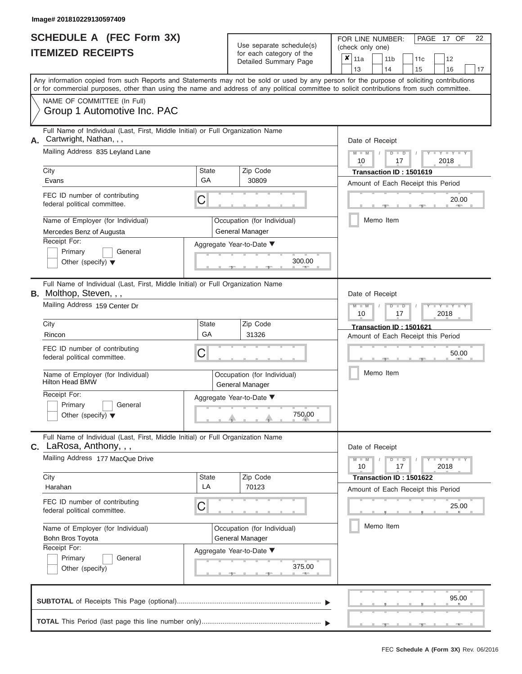|                          | SCHEDULE A (FEC Form 3X) |
|--------------------------|--------------------------|
| <b>ITEMIZED RECEIPTS</b> |                          |

FOR LINE NUMBER:<br>(check only one) Use separate schedule(s)<br>for each category of the<br>Detailed Summary Dage

|                                                                                                                                                                                                                                                                                                                                                                                                                                                                                                                                                                                                                                                                                                                                                                                                                                                                                                                                                                                                                                                                                                                                                                                                                                                                                                                                                                                                                                                                                                                                                  |                                                                       |                          |                                             |                                                | ×                                            | 11a<br>13                                                     |  | 11 <sub>b</sub><br>14 | 11 <sub>c</sub><br>15              | 12<br>16 | 17 |  |  |  |
|--------------------------------------------------------------------------------------------------------------------------------------------------------------------------------------------------------------------------------------------------------------------------------------------------------------------------------------------------------------------------------------------------------------------------------------------------------------------------------------------------------------------------------------------------------------------------------------------------------------------------------------------------------------------------------------------------------------------------------------------------------------------------------------------------------------------------------------------------------------------------------------------------------------------------------------------------------------------------------------------------------------------------------------------------------------------------------------------------------------------------------------------------------------------------------------------------------------------------------------------------------------------------------------------------------------------------------------------------------------------------------------------------------------------------------------------------------------------------------------------------------------------------------------------------|-----------------------------------------------------------------------|--------------------------|---------------------------------------------|------------------------------------------------|----------------------------------------------|---------------------------------------------------------------|--|-----------------------|------------------------------------|----------|----|--|--|--|
| $\frac{1}{2}$<br>Detailed Summary Page<br>Any information copied from such Reports and Statements may not be sold or used by any person for the purpose of soliciting contributions<br>or for commercial purposes, other than using the name and address of any political committee to solicit contributions from such committee.<br>NAME OF COMMITTEE (In Full)<br>Group 1 Automotive Inc. PAC<br>Full Name of Individual (Last, First, Middle Initial) or Full Organization Name<br>Cartwright, Nathan, , ,<br>Mailing Address 835 Leyland Lane<br>City<br><b>State</b><br>Zip Code<br>GA<br>30809<br>Evans<br>FEC ID number of contributing<br>С<br>federal political committee.<br>Name of Employer (for Individual)<br>Occupation (for Individual)<br>General Manager<br>Mercedes Benz of Augusta<br>Receipt For:<br>Aggregate Year-to-Date ▼<br>Primary<br>General<br>300.00<br>Other (specify) $\blacktriangledown$<br>一<br>Full Name of Individual (Last, First, Middle Initial) or Full Organization Name<br><b>B.</b> Molthop, Steven, , ,<br>Mailing Address 159 Center Dr<br>City<br><b>State</b><br>Zip Code<br>GA<br>31326<br>Rincon<br>FEC ID number of contributing<br>С<br>federal political committee.<br>Name of Employer (for Individual)<br>Occupation (for Individual)<br><b>Hilton Head BMW</b><br>General Manager<br>Receipt For:<br>Aggregate Year-to-Date ▼<br>Primary<br>General<br>750.00<br>Other (specify) $\blacktriangledown$<br>Full Name of Individual (Last, First, Middle Initial) or Full Organization Name |                                                                       |                          |                                             |                                                |                                              |                                                               |  |                       |                                    |          |    |  |  |  |
|                                                                                                                                                                                                                                                                                                                                                                                                                                                                                                                                                                                                                                                                                                                                                                                                                                                                                                                                                                                                                                                                                                                                                                                                                                                                                                                                                                                                                                                                                                                                                  |                                                                       |                          |                                             |                                                |                                              |                                                               |  |                       |                                    |          |    |  |  |  |
|                                                                                                                                                                                                                                                                                                                                                                                                                                                                                                                                                                                                                                                                                                                                                                                                                                                                                                                                                                                                                                                                                                                                                                                                                                                                                                                                                                                                                                                                                                                                                  |                                                                       |                          |                                             |                                                |                                              | Date of Receipt<br>$M - M$<br>$D$ $D$                         |  |                       |                                    |          |    |  |  |  |
|                                                                                                                                                                                                                                                                                                                                                                                                                                                                                                                                                                                                                                                                                                                                                                                                                                                                                                                                                                                                                                                                                                                                                                                                                                                                                                                                                                                                                                                                                                                                                  |                                                                       |                          |                                             |                                                |                                              | 2018<br>10<br>17<br>Transaction ID: 1501619                   |  |                       |                                    |          |    |  |  |  |
|                                                                                                                                                                                                                                                                                                                                                                                                                                                                                                                                                                                                                                                                                                                                                                                                                                                                                                                                                                                                                                                                                                                                                                                                                                                                                                                                                                                                                                                                                                                                                  |                                                                       |                          |                                             |                                                |                                              | Amount of Each Receipt this Period                            |  |                       |                                    |          |    |  |  |  |
|                                                                                                                                                                                                                                                                                                                                                                                                                                                                                                                                                                                                                                                                                                                                                                                                                                                                                                                                                                                                                                                                                                                                                                                                                                                                                                                                                                                                                                                                                                                                                  |                                                                       |                          |                                             |                                                | 20.00                                        |                                                               |  |                       |                                    |          |    |  |  |  |
|                                                                                                                                                                                                                                                                                                                                                                                                                                                                                                                                                                                                                                                                                                                                                                                                                                                                                                                                                                                                                                                                                                                                                                                                                                                                                                                                                                                                                                                                                                                                                  |                                                                       |                          |                                             |                                                |                                              |                                                               |  | Memo Item             |                                    |          |    |  |  |  |
|                                                                                                                                                                                                                                                                                                                                                                                                                                                                                                                                                                                                                                                                                                                                                                                                                                                                                                                                                                                                                                                                                                                                                                                                                                                                                                                                                                                                                                                                                                                                                  |                                                                       |                          |                                             |                                                |                                              |                                                               |  |                       |                                    |          |    |  |  |  |
|                                                                                                                                                                                                                                                                                                                                                                                                                                                                                                                                                                                                                                                                                                                                                                                                                                                                                                                                                                                                                                                                                                                                                                                                                                                                                                                                                                                                                                                                                                                                                  |                                                                       |                          |                                             |                                                | Date of Receipt<br>$M - M$<br>$\blacksquare$ |                                                               |  |                       |                                    |          |    |  |  |  |
|                                                                                                                                                                                                                                                                                                                                                                                                                                                                                                                                                                                                                                                                                                                                                                                                                                                                                                                                                                                                                                                                                                                                                                                                                                                                                                                                                                                                                                                                                                                                                  |                                                                       |                          | 2018<br>10<br>17                            |                                                |                                              |                                                               |  |                       |                                    |          |    |  |  |  |
|                                                                                                                                                                                                                                                                                                                                                                                                                                                                                                                                                                                                                                                                                                                                                                                                                                                                                                                                                                                                                                                                                                                                                                                                                                                                                                                                                                                                                                                                                                                                                  |                                                                       |                          |                                             |                                                | Transaction ID: 1501621                      |                                                               |  |                       |                                    |          |    |  |  |  |
|                                                                                                                                                                                                                                                                                                                                                                                                                                                                                                                                                                                                                                                                                                                                                                                                                                                                                                                                                                                                                                                                                                                                                                                                                                                                                                                                                                                                                                                                                                                                                  |                                                                       |                          | Amount of Each Receipt this Period<br>50.00 |                                                |                                              |                                                               |  |                       |                                    |          |    |  |  |  |
|                                                                                                                                                                                                                                                                                                                                                                                                                                                                                                                                                                                                                                                                                                                                                                                                                                                                                                                                                                                                                                                                                                                                                                                                                                                                                                                                                                                                                                                                                                                                                  |                                                                       |                          |                                             |                                                | Memo Item                                    |                                                               |  |                       |                                    |          |    |  |  |  |
|                                                                                                                                                                                                                                                                                                                                                                                                                                                                                                                                                                                                                                                                                                                                                                                                                                                                                                                                                                                                                                                                                                                                                                                                                                                                                                                                                                                                                                                                                                                                                  |                                                                       |                          |                                             |                                                |                                              |                                                               |  |                       |                                    |          |    |  |  |  |
|                                                                                                                                                                                                                                                                                                                                                                                                                                                                                                                                                                                                                                                                                                                                                                                                                                                                                                                                                                                                                                                                                                                                                                                                                                                                                                                                                                                                                                                                                                                                                  | C. LaRosa, Anthony, , ,                                               |                          |                                             |                                                |                                              | Date of Receipt                                               |  |                       |                                    |          |    |  |  |  |
|                                                                                                                                                                                                                                                                                                                                                                                                                                                                                                                                                                                                                                                                                                                                                                                                                                                                                                                                                                                                                                                                                                                                                                                                                                                                                                                                                                                                                                                                                                                                                  | Mailing Address 177 MacQue Drive                                      |                          |                                             |                                                |                                              | $Y - Y - Y - Y - Y$<br>$M - M$<br>$D$ $D$<br>10<br>17<br>2018 |  |                       |                                    |          |    |  |  |  |
|                                                                                                                                                                                                                                                                                                                                                                                                                                                                                                                                                                                                                                                                                                                                                                                                                                                                                                                                                                                                                                                                                                                                                                                                                                                                                                                                                                                                                                                                                                                                                  | City<br>Harahan                                                       | <b>State</b><br>LA       |                                             | Zip Code<br>70123                              |                                              |                                                               |  |                       | Transaction ID: 1501622            |          |    |  |  |  |
|                                                                                                                                                                                                                                                                                                                                                                                                                                                                                                                                                                                                                                                                                                                                                                                                                                                                                                                                                                                                                                                                                                                                                                                                                                                                                                                                                                                                                                                                                                                                                  | FEC ID number of contributing<br>federal political committee.         | С                        |                                             |                                                |                                              |                                                               |  |                       | Amount of Each Receipt this Period | 25.00    |    |  |  |  |
|                                                                                                                                                                                                                                                                                                                                                                                                                                                                                                                                                                                                                                                                                                                                                                                                                                                                                                                                                                                                                                                                                                                                                                                                                                                                                                                                                                                                                                                                                                                                                  | Name of Employer (for Individual)<br>Bohn Bros Toyota<br>Receipt For: |                          |                                             | Occupation (for Individual)<br>General Manager |                                              |                                                               |  | Memo Item             |                                    |          |    |  |  |  |
|                                                                                                                                                                                                                                                                                                                                                                                                                                                                                                                                                                                                                                                                                                                                                                                                                                                                                                                                                                                                                                                                                                                                                                                                                                                                                                                                                                                                                                                                                                                                                  | Primary<br>General<br>Other (specify)                                 | Aggregate Year-to-Date ▼ |                                             | 375.00                                         |                                              |                                                               |  |                       |                                    |          |    |  |  |  |
|                                                                                                                                                                                                                                                                                                                                                                                                                                                                                                                                                                                                                                                                                                                                                                                                                                                                                                                                                                                                                                                                                                                                                                                                                                                                                                                                                                                                                                                                                                                                                  |                                                                       |                          |                                             |                                                |                                              |                                                               |  |                       |                                    | 95.00    |    |  |  |  |
|                                                                                                                                                                                                                                                                                                                                                                                                                                                                                                                                                                                                                                                                                                                                                                                                                                                                                                                                                                                                                                                                                                                                                                                                                                                                                                                                                                                                                                                                                                                                                  |                                                                       |                          |                                             |                                                |                                              |                                                               |  |                       |                                    |          |    |  |  |  |

PAGE 17 OF 22

 ▲ ▲ ▲ , , .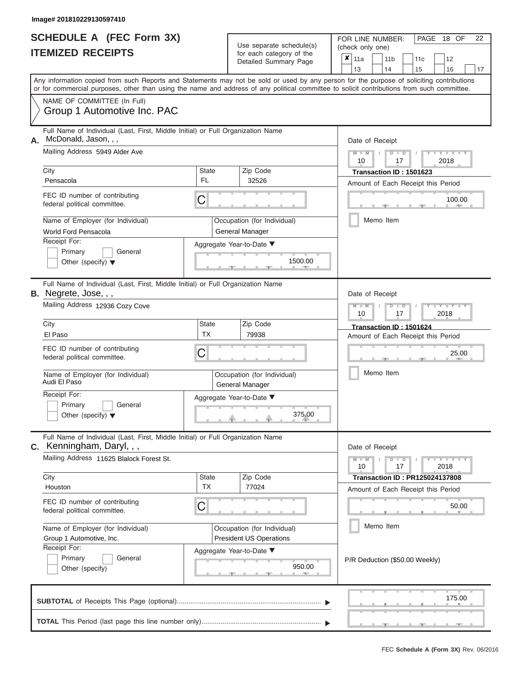|                          | <b>SCHEDULE A (FEC Form 3X)</b> |
|--------------------------|---------------------------------|
| <b>ITEMIZED RECEIPTS</b> |                                 |

FOR LINE NUMBER:<br>(check only one) Use separate schedule(s)<br>for each category of the

|    |                                                                                                                                            |                                                                                 | badii balogory or lin<br>Detailed Summary Page                |                                | ×                                                                 | 11a<br>13       |  | 11 <sub>b</sub><br>14                                | 11 <sub>c</sub>                       |  | 12     |    |  |  |  |  |  |
|----|--------------------------------------------------------------------------------------------------------------------------------------------|---------------------------------------------------------------------------------|---------------------------------------------------------------|--------------------------------|-------------------------------------------------------------------|-----------------|--|------------------------------------------------------|---------------------------------------|--|--------|----|--|--|--|--|--|
|    | Any information copied from such Reports and Statements may not be sold or used by any person for the purpose of soliciting contributions  |                                                                                 |                                                               |                                |                                                                   |                 |  |                                                      | 15                                    |  | 16     | 17 |  |  |  |  |  |
|    | or for commercial purposes, other than using the name and address of any political committee to solicit contributions from such committee. |                                                                                 |                                                               |                                |                                                                   |                 |  |                                                      |                                       |  |        |    |  |  |  |  |  |
|    | NAME OF COMMITTEE (In Full)<br>Group 1 Automotive Inc. PAC                                                                                 |                                                                                 |                                                               |                                |                                                                   |                 |  |                                                      |                                       |  |        |    |  |  |  |  |  |
|    | McDonald, Jason, , ,                                                                                                                       | Full Name of Individual (Last, First, Middle Initial) or Full Organization Name |                                                               |                                |                                                                   |                 |  |                                                      | Date of Receipt                       |  |        |    |  |  |  |  |  |
|    | Mailing Address 5949 Alder Ave                                                                                                             |                                                                                 |                                                               |                                | $M - M$ /<br>$D$ $D$<br>$Y - Y - I$<br>2018<br>10<br>17           |                 |  |                                                      |                                       |  |        |    |  |  |  |  |  |
|    | City<br>Pensacola                                                                                                                          | <b>State</b><br>FL.                                                             | Zip Code<br>32526                                             |                                | Transaction ID: 1501623                                           |                 |  |                                                      |                                       |  |        |    |  |  |  |  |  |
|    |                                                                                                                                            |                                                                                 |                                                               |                                | Amount of Each Receipt this Period                                |                 |  |                                                      |                                       |  |        |    |  |  |  |  |  |
|    | FEC ID number of contributing<br>federal political committee.                                                                              | C                                                                               |                                                               |                                | 100.00                                                            |                 |  |                                                      |                                       |  |        |    |  |  |  |  |  |
|    | Name of Employer (for Individual)<br>World Ford Pensacola                                                                                  |                                                                                 | Occupation (for Individual)<br><b>General Manager</b>         |                                |                                                                   |                 |  | Memo Item                                            |                                       |  |        |    |  |  |  |  |  |
|    | Receipt For:                                                                                                                               | Aggregate Year-to-Date ▼                                                        |                                                               |                                |                                                                   |                 |  |                                                      |                                       |  |        |    |  |  |  |  |  |
|    | Primary<br>General<br>Other (specify) $\blacktriangledown$                                                                                 |                                                                                 | 1500.00                                                       |                                |                                                                   |                 |  |                                                      |                                       |  |        |    |  |  |  |  |  |
|    | Full Name of Individual (Last, First, Middle Initial) or Full Organization Name<br>B. Negrete, Jose, , ,                                   |                                                                                 | Date of Receipt                                               |                                |                                                                   |                 |  |                                                      |                                       |  |        |    |  |  |  |  |  |
|    | Mailing Address 12936 Cozy Cove                                                                                                            |                                                                                 |                                                               |                                |                                                                   |                 |  | $M - M$<br>$D$ $\Box$ $D$<br>Y Y<br>2018<br>10<br>17 |                                       |  |        |    |  |  |  |  |  |
|    | City                                                                                                                                       | <b>State</b>                                                                    | Zip Code                                                      |                                | Transaction ID: 1501624                                           |                 |  |                                                      |                                       |  |        |    |  |  |  |  |  |
|    | El Paso                                                                                                                                    | <b>TX</b>                                                                       | 79938                                                         |                                | Amount of Each Receipt this Period                                |                 |  |                                                      |                                       |  |        |    |  |  |  |  |  |
|    | FEC ID number of contributing<br>federal political committee.                                                                              | C                                                                               |                                                               | 25.00                          |                                                                   |                 |  |                                                      |                                       |  |        |    |  |  |  |  |  |
|    | Name of Employer (for Individual)<br>Audi El Paso                                                                                          | Occupation (for Individual)<br>General Manager                                  |                                                               | Memo Item                      |                                                                   |                 |  |                                                      |                                       |  |        |    |  |  |  |  |  |
|    | Receipt For:                                                                                                                               |                                                                                 | Aggregate Year-to-Date ▼                                      |                                |                                                                   |                 |  |                                                      |                                       |  |        |    |  |  |  |  |  |
|    | Primary<br>General<br>Other (specify) $\blacktriangledown$                                                                                 |                                                                                 | 375.00                                                        |                                |                                                                   |                 |  |                                                      |                                       |  |        |    |  |  |  |  |  |
| C. | Full Name of Individual (Last, First, Middle Initial) or Full Organization Name<br>Kenningham, Daryl, , ,                                  |                                                                                 |                                                               |                                |                                                                   | Date of Receipt |  |                                                      |                                       |  |        |    |  |  |  |  |  |
|    | Mailing Address 11625 Blalock Forest St.                                                                                                   |                                                                                 |                                                               |                                | $Y - Y - Y$<br>$M - M$<br>D<br>$\blacksquare$<br>10<br>17<br>2018 |                 |  |                                                      |                                       |  |        |    |  |  |  |  |  |
|    | City<br>Houston                                                                                                                            | <b>State</b><br><b>TX</b>                                                       | Zip Code<br>77024                                             |                                |                                                                   |                 |  |                                                      | <b>Transaction ID: PR125024137808</b> |  |        |    |  |  |  |  |  |
|    |                                                                                                                                            |                                                                                 |                                                               |                                |                                                                   |                 |  |                                                      | Amount of Each Receipt this Period    |  |        |    |  |  |  |  |  |
|    | FEC ID number of contributing<br>federal political committee.                                                                              | C                                                                               |                                                               |                                |                                                                   |                 |  |                                                      |                                       |  | 50.00  |    |  |  |  |  |  |
|    | Name of Employer (for Individual)<br>Group 1 Automotive, Inc.                                                                              |                                                                                 | Occupation (for Individual)<br><b>President US Operations</b> |                                |                                                                   |                 |  | Memo Item                                            |                                       |  |        |    |  |  |  |  |  |
|    | Receipt For:                                                                                                                               |                                                                                 | Aggregate Year-to-Date ▼                                      |                                |                                                                   |                 |  |                                                      |                                       |  |        |    |  |  |  |  |  |
|    | Primary<br>General<br>Other (specify)                                                                                                      |                                                                                 | 950.00                                                        | P/R Deduction (\$50.00 Weekly) |                                                                   |                 |  |                                                      |                                       |  |        |    |  |  |  |  |  |
|    |                                                                                                                                            |                                                                                 |                                                               |                                |                                                                   |                 |  |                                                      |                                       |  | 175.00 |    |  |  |  |  |  |
|    |                                                                                                                                            |                                                                                 |                                                               |                                |                                                                   |                 |  |                                                      |                                       |  | $-1$   |    |  |  |  |  |  |

PAGE 18 OF 22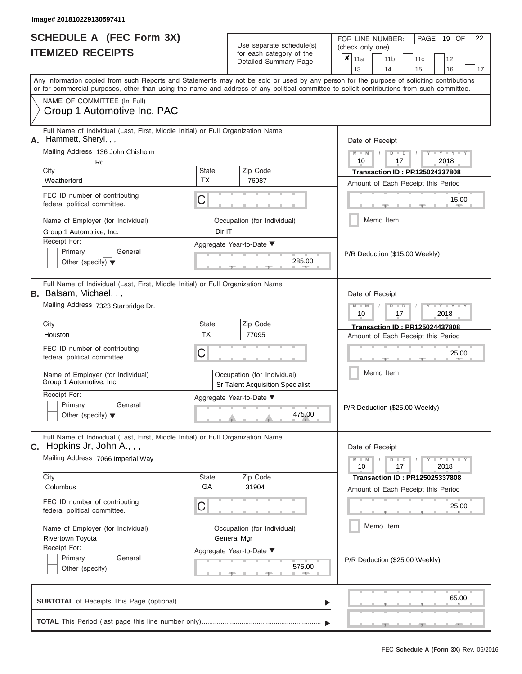|                          | <b>SCHEDULE A (FEC Form 3X)</b> |
|--------------------------|---------------------------------|
| <b>ITEMIZED RECEIPTS</b> |                                 |

FOR LINE NUMBER:<br>(check only one) Use separate schedule(s) (check only one)<br>for each category of the  $\sqrt{\frac{1}{2}}$ 

|    | <u>IIEMIZED RECEIPIS</u>                                                                                                                                                                                                                                                                |                                    | for each category of the<br>Detailed Summary Page                      |                                | X                                                                    | 11a |  | 11 <sub>b</sub>                | 11c                                                                         | 12 |       |  |  |  |  |  |
|----|-----------------------------------------------------------------------------------------------------------------------------------------------------------------------------------------------------------------------------------------------------------------------------------------|------------------------------------|------------------------------------------------------------------------|--------------------------------|----------------------------------------------------------------------|-----|--|--------------------------------|-----------------------------------------------------------------------------|----|-------|--|--|--|--|--|
|    | Any information copied from such Reports and Statements may not be sold or used by any person for the purpose of soliciting contributions<br>or for commercial purposes, other than using the name and address of any political committee to solicit contributions from such committee. |                                    |                                                                        |                                |                                                                      | 13  |  | 14                             | 15                                                                          | 16 | 17    |  |  |  |  |  |
|    | NAME OF COMMITTEE (In Full)<br>Group 1 Automotive Inc. PAC                                                                                                                                                                                                                              |                                    |                                                                        |                                |                                                                      |     |  |                                |                                                                             |    |       |  |  |  |  |  |
| Α. | Full Name of Individual (Last, First, Middle Initial) or Full Organization Name<br>Hammett, Sheryl, , ,                                                                                                                                                                                 |                                    |                                                                        |                                |                                                                      |     |  | Date of Receipt                |                                                                             |    |       |  |  |  |  |  |
|    | Mailing Address 136 John Chisholm<br>Rd.<br>City                                                                                                                                                                                                                                        | State                              | Zip Code                                                               |                                | $Y = Y$<br>2018<br>10<br>17<br><b>Transaction ID: PR125024337808</b> |     |  |                                |                                                                             |    |       |  |  |  |  |  |
|    | Weatherford                                                                                                                                                                                                                                                                             | ТX                                 | 76087                                                                  |                                | Amount of Each Receipt this Period                                   |     |  |                                |                                                                             |    |       |  |  |  |  |  |
|    | FEC ID number of contributing<br>federal political committee.                                                                                                                                                                                                                           | С                                  |                                                                        |                                | 15.00                                                                |     |  |                                |                                                                             |    |       |  |  |  |  |  |
|    | Name of Employer (for Individual)<br>Group 1 Automotive, Inc.                                                                                                                                                                                                                           | Dir IT                             | Occupation (for Individual)                                            |                                |                                                                      |     |  | Memo Item                      |                                                                             |    |       |  |  |  |  |  |
|    | Receipt For:<br>Primary<br>General<br>Other (specify) $\blacktriangledown$                                                                                                                                                                                                              |                                    | Aggregate Year-to-Date ▼<br>285.00                                     |                                |                                                                      |     |  |                                | P/R Deduction (\$15.00 Weekly)                                              |    |       |  |  |  |  |  |
|    | Full Name of Individual (Last, First, Middle Initial) or Full Organization Name<br><b>B.</b> Balsam, Michael, , ,                                                                                                                                                                       |                                    | Date of Receipt                                                        |                                |                                                                      |     |  |                                |                                                                             |    |       |  |  |  |  |  |
|    | Mailing Address 7323 Starbridge Dr.                                                                                                                                                                                                                                                     |                                    |                                                                        |                                |                                                                      |     |  |                                | Y I Y I<br>2018<br>10<br>17                                                 |    |       |  |  |  |  |  |
|    | City<br>Houston                                                                                                                                                                                                                                                                         | <b>State</b><br><b>TX</b>          | Zip Code<br>77095                                                      |                                |                                                                      |     |  |                                | Transaction ID: PR125024437808<br>Amount of Each Receipt this Period        |    |       |  |  |  |  |  |
|    | FEC ID number of contributing<br>С<br>federal political committee.                                                                                                                                                                                                                      |                                    |                                                                        |                                |                                                                      |     |  | 25.00                          |                                                                             |    |       |  |  |  |  |  |
|    | Name of Employer (for Individual)<br>Group 1 Automotive, Inc.                                                                                                                                                                                                                           |                                    | Occupation (for Individual)<br><b>Sr Talent Acquisition Specialist</b> |                                |                                                                      |     |  | Memo Item                      |                                                                             |    |       |  |  |  |  |  |
|    | Receipt For:<br>Primary<br>General<br>Other (specify) $\blacktriangledown$                                                                                                                                                                                                              | Aggregate Year-to-Date ▼<br>475.00 |                                                                        |                                |                                                                      |     |  | P/R Deduction (\$25.00 Weekly) |                                                                             |    |       |  |  |  |  |  |
|    | Full Name of Individual (Last, First, Middle Initial) or Full Organization Name<br><b>C.</b> Hopkins Jr, John A., , ,                                                                                                                                                                   |                                    |                                                                        |                                | Date of Receipt                                                      |     |  |                                |                                                                             |    |       |  |  |  |  |  |
|    | Mailing Address 7066 Imperial Way                                                                                                                                                                                                                                                       |                                    |                                                                        |                                | $Y = Y =$<br>$\overline{D}$<br>$\Box$<br>17<br>2018<br>10            |     |  |                                |                                                                             |    |       |  |  |  |  |  |
|    | City<br>Columbus                                                                                                                                                                                                                                                                        | <b>State</b><br>GA                 | Zip Code<br>31904                                                      |                                |                                                                      |     |  |                                | <b>Transaction ID: PR125025337808</b><br>Amount of Each Receipt this Period |    |       |  |  |  |  |  |
|    | FEC ID number of contributing<br>federal political committee.                                                                                                                                                                                                                           | С                                  |                                                                        |                                |                                                                      |     |  |                                |                                                                             |    | 25.00 |  |  |  |  |  |
|    | Name of Employer (for Individual)<br>Rivertown Toyota                                                                                                                                                                                                                                   |                                    | Occupation (for Individual)<br>General Mgr                             |                                |                                                                      |     |  | Memo Item                      |                                                                             |    |       |  |  |  |  |  |
|    | Receipt For:<br>Primary<br>General<br>Other (specify)                                                                                                                                                                                                                                   |                                    | Aggregate Year-to-Date ▼<br>575.00<br><b>ARCHITECT</b>                 | P/R Deduction (\$25.00 Weekly) |                                                                      |     |  |                                |                                                                             |    |       |  |  |  |  |  |
|    |                                                                                                                                                                                                                                                                                         |                                    |                                                                        |                                |                                                                      |     |  |                                |                                                                             |    | 65.00 |  |  |  |  |  |
|    |                                                                                                                                                                                                                                                                                         |                                    |                                                                        |                                |                                                                      |     |  |                                |                                                                             |    |       |  |  |  |  |  |

PAGE 19 OF 22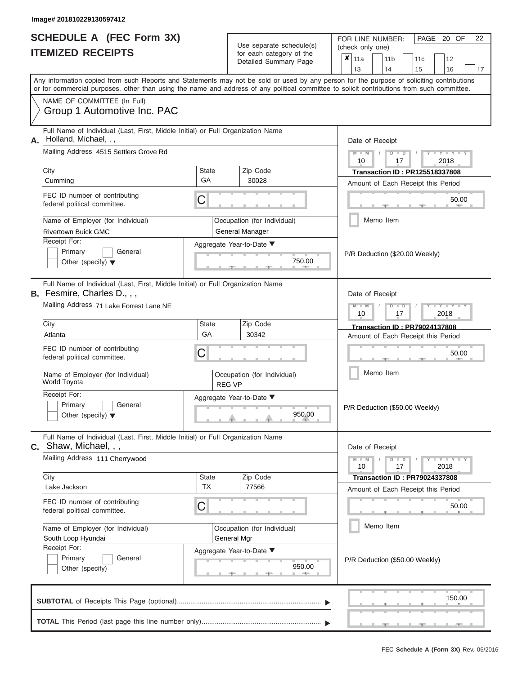|                          | <b>SCHEDULE A (FEC Form 3X)</b> |
|--------------------------|---------------------------------|
| <b>ITEMIZED RECEIPTS</b> |                                 |

FOR LINE NUMBER:<br>(check only one) Use separate schedule(s)<br>for each category of the

|    |                                                                                                                                                                                                                                                                                         |                                    |                                            | badii balogory of life<br>Detailed Summary Page |                                       | x                                                         | 11a<br>13       |                                                      | 11 <sub>b</sub><br>14 | 11 <sub>c</sub><br>15                                                      | 12<br>16 |        | 17 |  |  |
|----|-----------------------------------------------------------------------------------------------------------------------------------------------------------------------------------------------------------------------------------------------------------------------------------------|------------------------------------|--------------------------------------------|-------------------------------------------------|---------------------------------------|-----------------------------------------------------------|-----------------|------------------------------------------------------|-----------------------|----------------------------------------------------------------------------|----------|--------|----|--|--|
|    | Any information copied from such Reports and Statements may not be sold or used by any person for the purpose of soliciting contributions<br>or for commercial purposes, other than using the name and address of any political committee to solicit contributions from such committee. |                                    |                                            |                                                 |                                       |                                                           |                 |                                                      |                       |                                                                            |          |        |    |  |  |
|    | NAME OF COMMITTEE (In Full)<br>Group 1 Automotive Inc. PAC                                                                                                                                                                                                                              |                                    |                                            |                                                 |                                       |                                                           |                 |                                                      |                       |                                                                            |          |        |    |  |  |
| А. | Full Name of Individual (Last, First, Middle Initial) or Full Organization Name<br>Holland, Michael, , ,<br>Mailing Address 4515 Settlers Grove Rd                                                                                                                                      |                                    |                                            |                                                 | Date of Receipt<br>$M - M$<br>$D$ $D$ |                                                           |                 |                                                      |                       |                                                                            |          |        |    |  |  |
|    | City                                                                                                                                                                                                                                                                                    | <b>State</b>                       |                                            | Zip Code                                        |                                       | 2018<br>10<br>17<br><b>Transaction ID: PR125518337808</b> |                 |                                                      |                       |                                                                            |          |        |    |  |  |
|    | Cumming                                                                                                                                                                                                                                                                                 | GA                                 |                                            | 30028                                           |                                       | Amount of Each Receipt this Period                        |                 |                                                      |                       |                                                                            |          |        |    |  |  |
|    | FEC ID number of contributing<br>federal political committee.                                                                                                                                                                                                                           | С                                  |                                            |                                                 |                                       | 50.00                                                     |                 |                                                      |                       |                                                                            |          |        |    |  |  |
|    | Name of Employer (for Individual)<br><b>Rivertown Buick GMC</b>                                                                                                                                                                                                                         |                                    |                                            | Occupation (for Individual)<br>General Manager  |                                       | Memo Item                                                 |                 |                                                      |                       |                                                                            |          |        |    |  |  |
|    | Receipt For:<br>Primary<br>General<br>Other (specify) $\blacktriangledown$                                                                                                                                                                                                              |                                    | Aggregate Year-to-Date ▼<br>750.00<br>$-1$ |                                                 | P/R Deduction (\$20.00 Weekly)        |                                                           |                 |                                                      |                       |                                                                            |          |        |    |  |  |
|    | Full Name of Individual (Last, First, Middle Initial) or Full Organization Name<br><b>B.</b> Fesmire, Charles D.,,,                                                                                                                                                                     |                                    |                                            |                                                 |                                       |                                                           | Date of Receipt |                                                      |                       |                                                                            |          |        |    |  |  |
|    | Mailing Address 71 Lake Forrest Lane NE                                                                                                                                                                                                                                                 |                                    |                                            |                                                 |                                       |                                                           |                 | $M - M$<br>Y Y<br>$\blacksquare$<br>2018<br>10<br>17 |                       |                                                                            |          |        |    |  |  |
|    | City<br>Atlanta                                                                                                                                                                                                                                                                         | <b>State</b><br>GA                 |                                            | Zip Code<br>30342                               |                                       |                                                           |                 |                                                      |                       | <b>Transaction ID: PR79024137808</b><br>Amount of Each Receipt this Period |          |        |    |  |  |
|    | FEC ID number of contributing<br>С<br>federal political committee.                                                                                                                                                                                                                      |                                    |                                            |                                                 |                                       |                                                           |                 | 50.00                                                |                       |                                                                            |          |        |    |  |  |
|    | Name of Employer (for Individual)<br>World Toyota                                                                                                                                                                                                                                       | <b>REG VP</b>                      | Occupation (for Individual)                |                                                 | Memo Item                             |                                                           |                 |                                                      |                       |                                                                            |          |        |    |  |  |
|    | Receipt For:<br>Primary<br>General<br>Other (specify) $\blacktriangledown$                                                                                                                                                                                                              | Aggregate Year-to-Date ▼<br>950.00 |                                            |                                                 |                                       |                                                           |                 | P/R Deduction (\$50.00 Weekly)                       |                       |                                                                            |          |        |    |  |  |
|    | Full Name of Individual (Last, First, Middle Initial) or Full Organization Name<br>C. Shaw, Michael, , ,                                                                                                                                                                                |                                    |                                            |                                                 |                                       |                                                           | Date of Receipt |                                                      |                       |                                                                            |          |        |    |  |  |
|    | Mailing Address 111 Cherrywood                                                                                                                                                                                                                                                          |                                    |                                            |                                                 |                                       | $Y = Y$<br>D<br>$\blacksquare$<br>10<br>17<br>2018        |                 |                                                      |                       |                                                                            |          |        |    |  |  |
|    | City<br>Lake Jackson                                                                                                                                                                                                                                                                    | <b>State</b><br><b>TX</b>          |                                            | Zip Code<br>77566                               |                                       |                                                           |                 |                                                      |                       | <b>Transaction ID: PR79024337808</b><br>Amount of Each Receipt this Period |          |        |    |  |  |
|    | FEC ID number of contributing<br>federal political committee.                                                                                                                                                                                                                           | С                                  |                                            |                                                 |                                       |                                                           |                 |                                                      |                       |                                                                            |          | 50.00  |    |  |  |
|    | Name of Employer (for Individual)<br>South Loop Hyundai                                                                                                                                                                                                                                 |                                    |                                            | Occupation (for Individual)<br>General Mgr      |                                       |                                                           |                 |                                                      | Memo Item             |                                                                            |          |        |    |  |  |
|    | Receipt For:<br>Primary<br>General<br>Other (specify)                                                                                                                                                                                                                                   | Aggregate Year-to-Date ▼<br>950.00 |                                            |                                                 |                                       |                                                           |                 |                                                      |                       | P/R Deduction (\$50.00 Weekly)                                             |          |        |    |  |  |
|    |                                                                                                                                                                                                                                                                                         |                                    |                                            |                                                 |                                       |                                                           |                 |                                                      |                       |                                                                            |          | 150.00 |    |  |  |
|    |                                                                                                                                                                                                                                                                                         |                                    |                                            |                                                 |                                       |                                                           |                 |                                                      |                       |                                                                            |          |        |    |  |  |

PAGE 20 OF 22

 ▲ ▲ ▲ , , .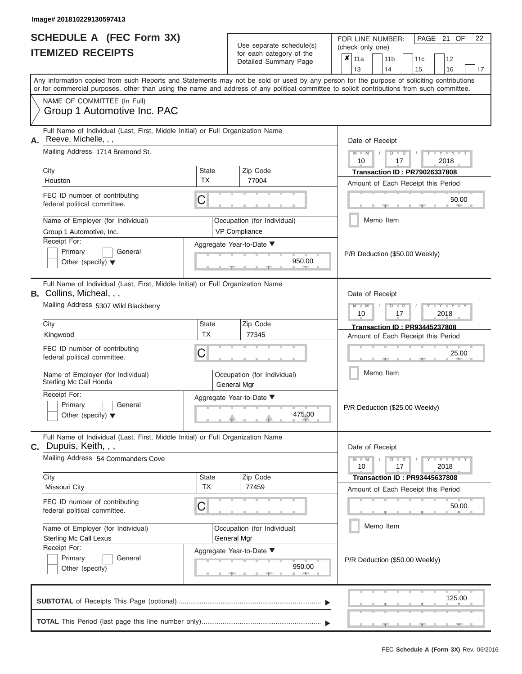| <b>SCHEDULE A (FEC Form 3X)</b> |  |  |
|---------------------------------|--|--|
| <b>ITEMIZED RECEIPTS</b>        |  |  |

FOR LINE NUMBER:<br>(check only one) Use separate schedule $(s)$  for each category of the

|    | IIEMILEU REVEIFIJ                                                                                                                                                                                                                                                                       |                                                   | for each category of the<br>Detailed Summary Page | $\pmb{\mathsf{x}}$<br>11a<br>11 <sub>b</sub><br>11c<br>12     |  |  |  |  |  |  |  |
|----|-----------------------------------------------------------------------------------------------------------------------------------------------------------------------------------------------------------------------------------------------------------------------------------------|---------------------------------------------------|---------------------------------------------------|---------------------------------------------------------------|--|--|--|--|--|--|--|
|    |                                                                                                                                                                                                                                                                                         |                                                   |                                                   | 13<br>14<br>15<br>16<br>17                                    |  |  |  |  |  |  |  |
|    | Any information copied from such Reports and Statements may not be sold or used by any person for the purpose of soliciting contributions<br>or for commercial purposes, other than using the name and address of any political committee to solicit contributions from such committee. |                                                   |                                                   |                                                               |  |  |  |  |  |  |  |
|    | NAME OF COMMITTEE (In Full)<br>Group 1 Automotive Inc. PAC                                                                                                                                                                                                                              |                                                   |                                                   |                                                               |  |  |  |  |  |  |  |
| А. | Full Name of Individual (Last, First, Middle Initial) or Full Organization Name<br>Reeve, Michelle, , ,                                                                                                                                                                                 |                                                   |                                                   | Date of Receipt                                               |  |  |  |  |  |  |  |
|    | Mailing Address 1714 Bremond St.                                                                                                                                                                                                                                                        |                                                   |                                                   | $M - M$<br>Y TYT<br>$D$ $D$<br>10<br>2018<br>17               |  |  |  |  |  |  |  |
|    | City<br>Houston                                                                                                                                                                                                                                                                         | <b>State</b><br><b>TX</b>                         | Zip Code<br>77004                                 | <b>Transaction ID: PR79026337808</b>                          |  |  |  |  |  |  |  |
|    |                                                                                                                                                                                                                                                                                         |                                                   |                                                   | Amount of Each Receipt this Period                            |  |  |  |  |  |  |  |
|    | FEC ID number of contributing<br>federal political committee.                                                                                                                                                                                                                           | С                                                 |                                                   | 50.00<br><b>COLL</b>                                          |  |  |  |  |  |  |  |
|    | Name of Employer (for Individual)<br>Group 1 Automotive, Inc.                                                                                                                                                                                                                           |                                                   | Occupation (for Individual)<br>VP Compliance      | Memo Item                                                     |  |  |  |  |  |  |  |
|    | Receipt For:                                                                                                                                                                                                                                                                            |                                                   | Aggregate Year-to-Date ▼                          |                                                               |  |  |  |  |  |  |  |
|    | Primary<br>General<br>Other (specify) $\blacktriangledown$                                                                                                                                                                                                                              |                                                   | 950.00                                            | P/R Deduction (\$50.00 Weekly)                                |  |  |  |  |  |  |  |
|    | Full Name of Individual (Last, First, Middle Initial) or Full Organization Name<br><b>B.</b> Collins, Micheal, , ,                                                                                                                                                                      |                                                   |                                                   | Date of Receipt                                               |  |  |  |  |  |  |  |
|    | Mailing Address 5307 Wild Blackberry                                                                                                                                                                                                                                                    | $M - M$<br>Y I Y I<br>$D$ $D$<br>10<br>2018<br>17 |                                                   |                                                               |  |  |  |  |  |  |  |
|    | City                                                                                                                                                                                                                                                                                    | State                                             | Zip Code                                          | <b>Transaction ID: PR93445237808</b>                          |  |  |  |  |  |  |  |
|    | Kingwood                                                                                                                                                                                                                                                                                | <b>TX</b>                                         | 77345                                             | Amount of Each Receipt this Period                            |  |  |  |  |  |  |  |
|    | FEC ID number of contributing<br>federal political committee.                                                                                                                                                                                                                           | 25.00                                             |                                                   |                                                               |  |  |  |  |  |  |  |
|    | Name of Employer (for Individual)<br>Sterling Mc Call Honda                                                                                                                                                                                                                             |                                                   | Occupation (for Individual)<br>General Mgr        | Memo Item                                                     |  |  |  |  |  |  |  |
|    | Receipt For:<br>Primary<br>General<br>Other (specify) $\blacktriangledown$                                                                                                                                                                                                              |                                                   | Aggregate Year-to-Date ▼<br>475.00                | P/R Deduction (\$25.00 Weekly)                                |  |  |  |  |  |  |  |
|    | Full Name of Individual (Last, First, Middle Initial) or Full Organization Name<br><b>C.</b> Dupuis, Keith, , ,                                                                                                                                                                         |                                                   |                                                   | Date of Receipt                                               |  |  |  |  |  |  |  |
|    | Mailing Address 54 Commanders Cove                                                                                                                                                                                                                                                      |                                                   |                                                   | $Y - Y - Y - Y - Y$<br>$M - M$<br>$D$ $D$<br>10<br>17<br>2018 |  |  |  |  |  |  |  |
|    | City                                                                                                                                                                                                                                                                                    | <b>State</b>                                      | Zip Code                                          | <b>Transaction ID: PR93445637808</b>                          |  |  |  |  |  |  |  |
|    | Missouri City                                                                                                                                                                                                                                                                           | <b>TX</b>                                         | 77459                                             | Amount of Each Receipt this Period                            |  |  |  |  |  |  |  |
|    | FEC ID number of contributing<br>federal political committee.                                                                                                                                                                                                                           | C                                                 |                                                   | 50.00                                                         |  |  |  |  |  |  |  |
|    | Name of Employer (for Individual)                                                                                                                                                                                                                                                       |                                                   | Occupation (for Individual)                       | Memo Item                                                     |  |  |  |  |  |  |  |
|    | <b>Sterling Mc Call Lexus</b>                                                                                                                                                                                                                                                           |                                                   | General Mgr                                       |                                                               |  |  |  |  |  |  |  |
|    | Receipt For:                                                                                                                                                                                                                                                                            |                                                   | Aggregate Year-to-Date ▼                          |                                                               |  |  |  |  |  |  |  |
|    | Primary<br>General<br>Other (specify)                                                                                                                                                                                                                                                   |                                                   | 950.00<br>A                                       | P/R Deduction (\$50.00 Weekly)                                |  |  |  |  |  |  |  |
|    |                                                                                                                                                                                                                                                                                         |                                                   |                                                   | 125.00                                                        |  |  |  |  |  |  |  |
|    |                                                                                                                                                                                                                                                                                         |                                                   |                                                   |                                                               |  |  |  |  |  |  |  |

PAGE 21 OF 22